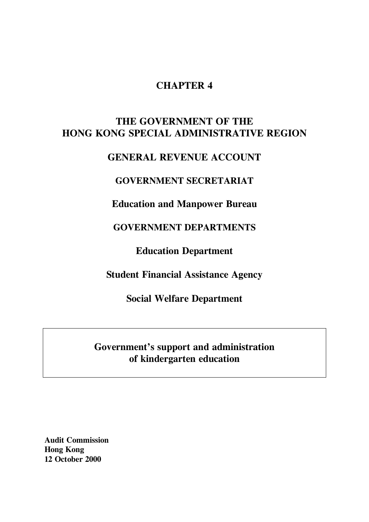# **CHAPTER 4**

# **THE GOVERNMENT OF THE HONG KONG SPECIAL ADMINISTRATIVE REGION**

# **GENERAL REVENUE ACCOUNT**

# **GOVERNMENT SECRETARIAT**

**Education and Manpower Bureau**

**GOVERNMENT DEPARTMENTS**

**Education Department**

**Student Financial Assistance Agency**

**Social Welfare Department**

# **Government's support and administration of kindergarten education**

**Audit Commission Hong Kong 12 October 2000**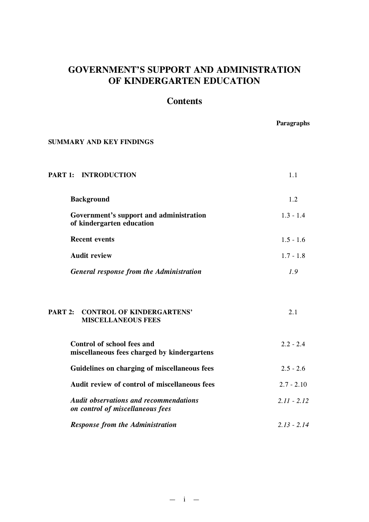# **GOVERNMENT'S SUPPORT AND ADMINISTRATION OF KINDERGARTEN EDUCATION**

# **Contents**

**Paragraphs**

# **SUMMARY AND KEY FINDINGS**

| PART 1: INTRODUCTION                                                              | 1.1           |
|-----------------------------------------------------------------------------------|---------------|
| <b>Background</b>                                                                 | 1.2           |
| Government's support and administration<br>of kindergarten education              | $1.3 - 1.4$   |
| <b>Recent events</b>                                                              | $1.5 - 1.6$   |
| <b>Audit review</b>                                                               | $1.7 - 1.8$   |
| General response from the Administration                                          | 1.9           |
| PART 2:<br><b>CONTROL OF KINDERGARTENS'</b><br><b>MISCELLANEOUS FEES</b>          | 2.1           |
| <b>Control of school fees and</b>                                                 | $2.2 - 2.4$   |
| miscellaneous fees charged by kindergartens                                       |               |
| Guidelines on charging of miscellaneous fees                                      | $2.5 - 2.6$   |
| Audit review of control of miscellaneous fees                                     | $2.7 - 2.10$  |
| <b>Audit observations and recommendations</b><br>on control of miscellaneous fees | $2.11 - 2.12$ |
| <b>Response from the Administration</b>                                           | $2.13 - 2.14$ |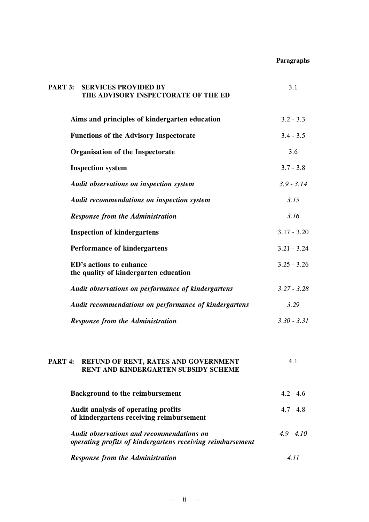# **Paragraphs**

| PART 3:<br><b>SERVICES PROVIDED BY</b><br>THE ADVISORY INSPECTORATE OF THE ED                       | 3.1           |
|-----------------------------------------------------------------------------------------------------|---------------|
| Aims and principles of kindergarten education                                                       | $3.2 - 3.3$   |
| <b>Functions of the Advisory Inspectorate</b>                                                       | $3.4 - 3.5$   |
| <b>Organisation of the Inspectorate</b>                                                             | 3.6           |
| <b>Inspection system</b>                                                                            | $3.7 - 3.8$   |
| Audit observations on inspection system                                                             | $3.9 - 3.14$  |
| Audit recommendations on inspection system                                                          | 3.15          |
| <b>Response from the Administration</b>                                                             | 3.16          |
| <b>Inspection of kindergartens</b>                                                                  | $3.17 - 3.20$ |
| <b>Performance of kindergartens</b>                                                                 | $3.21 - 3.24$ |
| ED's actions to enhance<br>the quality of kindergarten education                                    | $3.25 - 3.26$ |
| Audit observations on performance of kindergartens                                                  | $3.27 - 3.28$ |
| Audit recommendations on performance of kindergartens                                               | 3.29          |
| <b>Response from the Administration</b>                                                             | $3.30 - 3.31$ |
| REFUND OF RENT, RATES AND GOVERNMENT<br>PART <sub>4</sub> :<br>RENT AND KINDERGARTEN SUBSIDY SCHEME | 4.1           |

| <b>Background to the reimbursement</b>                                                                         | $4.2 - 4.6$ |
|----------------------------------------------------------------------------------------------------------------|-------------|
| Audit analysis of operating profits<br>of kindergartens receiving reimbursement                                | $4.7 - 4.8$ |
| <b>Audit observations and recommendations on</b><br>operating profits of kindergartens receiving reimbursement | $49 - 410$  |
| <b>Response from the Administration</b>                                                                        | 411         |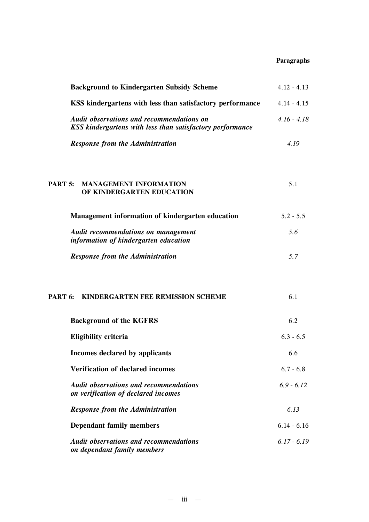# **Paragraphs**

| <b>Background to Kindergarten Subsidy Scheme</b>                                                              | $4.12 - 4.13$ |
|---------------------------------------------------------------------------------------------------------------|---------------|
| KSS kindergartens with less than satisfactory performance                                                     | $4.14 - 4.15$ |
| <b>Audit observations and recommendations on</b><br>KSS kindergartens with less than satisfactory performance | $4.16 - 4.18$ |
| <b>Response from the Administration</b>                                                                       | 4.19          |
| PART 5:<br><b>MANAGEMENT INFORMATION</b><br>OF KINDERGARTEN EDUCATION                                         | 5.1           |
| Management information of kindergarten education                                                              | $5.2 - 5.5$   |
| <b>Audit recommendations on management</b><br>information of kindergarten education                           | 5.6           |
| <b>Response from the Administration</b>                                                                       | 5.7           |
| <b>PART 6: KINDERGARTEN FEE REMISSION SCHEME</b>                                                              | 6.1           |
| <b>Background of the KGFRS</b>                                                                                | 6.2           |
| <b>Eligibility criteria</b>                                                                                   | $6.3 - 6.5$   |
| Incomes declared by applicants                                                                                | 6.6           |
| <b>Verification of declared incomes</b>                                                                       | $6.7 - 6.8$   |
| <b>Audit observations and recommendations</b><br>on verification of declared incomes                          | $6.9 - 6.12$  |
| <b>Response from the Administration</b>                                                                       | 6.13          |
| <b>Dependant family members</b>                                                                               | $6.14 - 6.16$ |
| <b>Audit observations and recommendations</b><br>on dependant family members                                  | $6.17 - 6.19$ |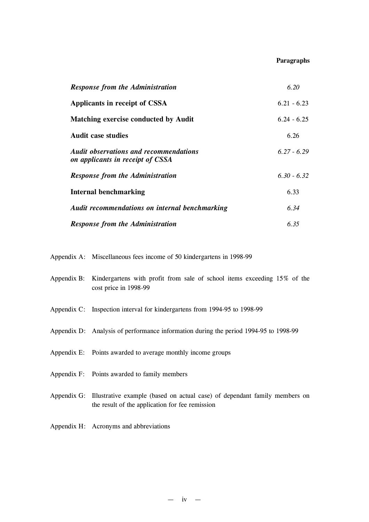#### **Paragraphs**

| <b>Response from the Administration</b>                                           | 6.20          |
|-----------------------------------------------------------------------------------|---------------|
| Applicants in receipt of CSSA                                                     | $6.21 - 6.23$ |
| <b>Matching exercise conducted by Audit</b>                                       | $6.24 - 6.25$ |
| <b>Audit case studies</b>                                                         | 6.26          |
| <b>Audit observations and recommendations</b><br>on applicants in receipt of CSSA | $6.27 - 6.29$ |
| <b>Response from the Administration</b>                                           | $6.30 - 6.32$ |
| <b>Internal benchmarking</b>                                                      | 6.33          |
| Audit recommendations on internal benchmarking                                    | 6.34          |
| <b>Response from the Administration</b>                                           | 6.35          |

Appendix A: Miscellaneous fees income of 50 kindergartens in 1998-99

| Appendix B: Kindergartens with profit from sale of school items exceeding 15% of the |  |  |  |  |  |  |
|--------------------------------------------------------------------------------------|--|--|--|--|--|--|
| cost price in 1998-99                                                                |  |  |  |  |  |  |

- Appendix C: Inspection interval for kindergartens from 1994-95 to 1998-99
- Appendix D: Analysis of performance information during the period 1994-95 to 1998-99
- Appendix E: Points awarded to average monthly income groups
- Appendix F: Points awarded to family members
- Appendix G: Illustrative example (based on actual case) of dependant family members on the result of the application for fee remission
- Appendix H: Acronyms and abbreviations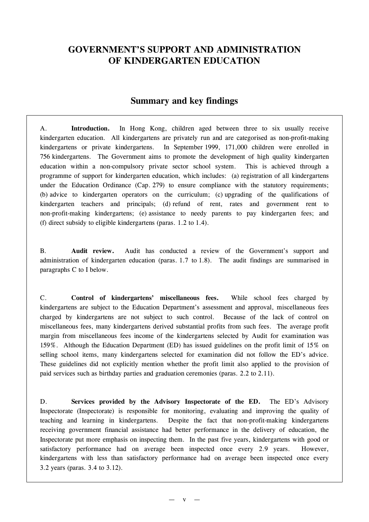# **GOVERNMENT'S SUPPORT AND ADMINISTRATION OF KINDERGARTEN EDUCATION**

# **Summary and key findings**

A. **Introduction.** In Hong Kong, children aged between three to six usually receive kindergarten education. All kindergartens are privately run and are categorised as non-profit-making kindergartens or private kindergartens. In September 1999, 171,000 children were enrolled in 756 kindergartens. The Government aims to promote the development of high quality kindergarten education within a non-compulsory private sector school system. This is achieved through a programme of support for kindergarten education, which includes: (a) registration of all kindergartens under the Education Ordinance (Cap. 279) to ensure compliance with the statutory requirements; (b) advice to kindergarten operators on the curriculum; (c) upgrading of the qualifications of kindergarten teachers and principals; (d) refund of rent, rates and government rent to non-profit-making kindergartens; (e) assistance to needy parents to pay kindergarten fees; and (f) direct subsidy to eligible kindergartens (paras. 1.2 to 1.4).

B. **Audit review.** Audit has conducted a review of the Government's support and administration of kindergarten education (paras. 1.7 to 1.8). The audit findings are summarised in paragraphs C to I below.

C. **Control of kindergartens' miscellaneous fees.** While school fees charged by kindergartens are subject to the Education Department's assessment and approval, miscellaneous fees charged by kindergartens are not subject to such control. Because of the lack of control on miscellaneous fees, many kindergartens derived substantial profits from such fees. The average profit margin from miscellaneous fees income of the kindergartens selected by Audit for examination was 159%. Although the Education Department (ED) has issued guidelines on the profit limit of 15% on selling school items, many kindergartens selected for examination did not follow the ED's advice. These guidelines did not explicitly mention whether the profit limit also applied to the provision of paid services such as birthday parties and graduation ceremonies (paras. 2.2 to 2.11).

D. **Services provided by the Advisory Inspectorate of the ED.** The ED's Advisory Inspectorate (Inspectorate) is responsible for monitoring, evaluating and improving the quality of teaching and learning in kindergartens. Despite the fact that non-profit-making kindergartens receiving government financial assistance had better performance in the delivery of education, the Inspectorate put more emphasis on inspecting them. In the past five years, kindergartens with good or satisfactory performance had on average been inspected once every 2.9 years. However, kindergartens with less than satisfactory performance had on average been inspected once every 3.2 years (paras. 3.4 to 3.12).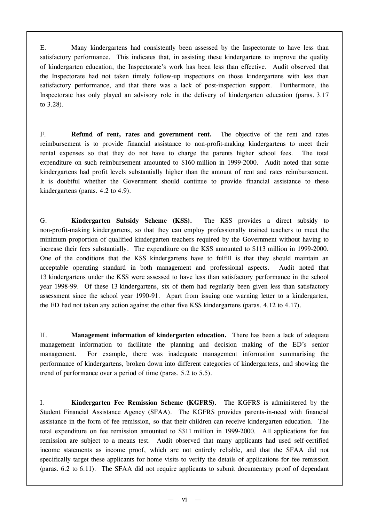E. Many kindergartens had consistently been assessed by the Inspectorate to have less than satisfactory performance. This indicates that, in assisting these kindergartens to improve the quality of kindergarten education, the Inspectorate's work has been less than effective. Audit observed that the Inspectorate had not taken timely follow-up inspections on those kindergartens with less than satisfactory performance, and that there was a lack of post-inspection support. Furthermore, the Inspectorate has only played an advisory role in the delivery of kindergarten education (paras. 3.17 to 3.28).

F. **Refund of rent, rates and government rent.** The objective of the rent and rates reimbursement is to provide financial assistance to non-profit-making kindergartens to meet their rental expenses so that they do not have to charge the parents higher school fees. The total expenditure on such reimbursement amounted to \$160 million in 1999-2000. Audit noted that some kindergartens had profit levels substantially higher than the amount of rent and rates reimbursement. It is doubtful whether the Government should continue to provide financial assistance to these kindergartens (paras. 4.2 to 4.9).

G. **Kindergarten Subsidy Scheme (KSS).** The KSS provides a direct subsidy to non-profit-making kindergartens, so that they can employ professionally trained teachers to meet the minimum proportion of qualified kindergarten teachers required by the Government without having to increase their fees substantially. The expenditure on the KSS amounted to \$113 million in 1999-2000. One of the conditions that the KSS kindergartens have to fulfill is that they should maintain an acceptable operating standard in both management and professional aspects. Audit noted that 13 kindergartens under the KSS were assessed to have less than satisfactory performance in the school year 1998-99. Of these 13 kindergartens, six of them had regularly been given less than satisfactory assessment since the school year 1990-91. Apart from issuing one warning letter to a kindergarten, the ED had not taken any action against the other five KSS kindergartens (paras. 4.12 to 4.17).

H. **Management information of kindergarten education.** There has been a lack of adequate management information to facilitate the planning and decision making of the ED's senior management. For example, there was inadequate management information summarising the performance of kindergartens, broken down into different categories of kindergartens, and showing the trend of performance over a period of time (paras. 5.2 to 5.5).

I. **Kindergarten Fee Remission Scheme (KGFRS).** The KGFRS is administered by the Student Financial Assistance Agency (SFAA). The KGFRS provides parents-in-need with financial assistance in the form of fee remission, so that their children can receive kindergarten education. The total expenditure on fee remission amounted to \$311 million in 1999-2000. All applications for fee remission are subject to a means test. Audit observed that many applicants had used self-certified income statements as income proof, which are not entirely reliable, and that the SFAA did not specifically target these applicants for home visits to verify the details of applications for fee remission (paras. 6.2 to 6.11). The SFAA did not require applicants to submit documentary proof of dependant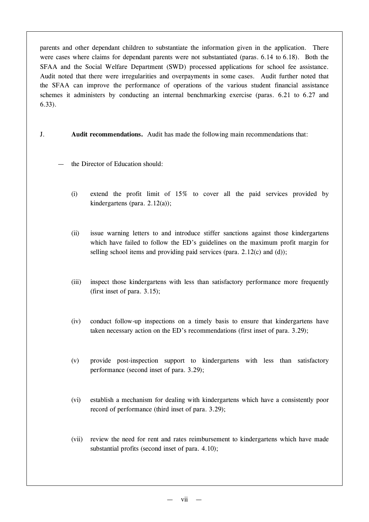parents and other dependant children to substantiate the information given in the application. There were cases where claims for dependant parents were not substantiated (paras. 6.14 to 6.18). Both the SFAA and the Social Welfare Department (SWD) processed applications for school fee assistance. Audit noted that there were irregularities and overpayments in some cases. Audit further noted that the SFAA can improve the performance of operations of the various student financial assistance schemes it administers by conducting an internal benchmarking exercise (paras. 6.21 to 6.27 and 6.33).

- J. **Audit recommendations.** Audit has made the following main recommendations that:
	- the Director of Education should:
		- (i) extend the profit limit of 15% to cover all the paid services provided by kindergartens (para. 2.12(a));
		- (ii) issue warning letters to and introduce stiffer sanctions against those kindergartens which have failed to follow the ED's guidelines on the maximum profit margin for selling school items and providing paid services (para. 2.12(c) and (d));
		- (iii) inspect those kindergartens with less than satisfactory performance more frequently (first inset of para. 3.15);
		- (iv) conduct follow-up inspections on a timely basis to ensure that kindergartens have taken necessary action on the ED's recommendations (first inset of para. 3.29);
		- (v) provide post-inspection support to kindergartens with less than satisfactory performance (second inset of para. 3.29);
		- (vi) establish a mechanism for dealing with kindergartens which have a consistently poor record of performance (third inset of para. 3.29);
		- (vii) review the need for rent and rates reimbursement to kindergartens which have made substantial profits (second inset of para. 4.10);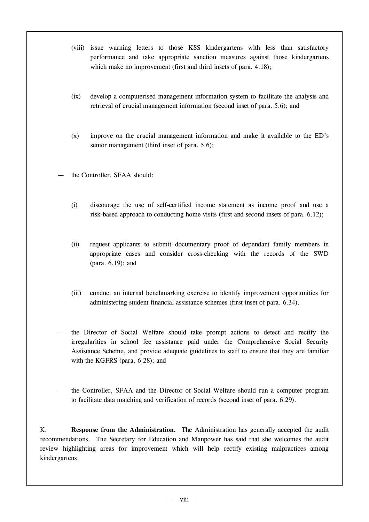- (viii) issue warning letters to those KSS kindergartens with less than satisfactory performance and take appropriate sanction measures against those kindergartens which make no improvement (first and third insets of para. 4.18);
- (ix) develop a computerised management information system to facilitate the analysis and retrieval of crucial management information (second inset of para. 5.6); and
- (x) improve on the crucial management information and make it available to the ED's senior management (third inset of para. 5.6);
- the Controller, SFAA should:
	- (i) discourage the use of self-certified income statement as income proof and use a risk-based approach to conducting home visits (first and second insets of para. 6.12);
	- (ii) request applicants to submit documentary proof of dependant family members in appropriate cases and consider cross-checking with the records of the SWD (para. 6.19); and
	- (iii) conduct an internal benchmarking exercise to identify improvement opportunities for administering student financial assistance schemes (first inset of para. 6.34).
- the Director of Social Welfare should take prompt actions to detect and rectify the irregularities in school fee assistance paid under the Comprehensive Social Security Assistance Scheme, and provide adequate guidelines to staff to ensure that they are familiar with the KGFRS (para. 6.28); and
- the Controller, SFAA and the Director of Social Welfare should run a computer program to facilitate data matching and verification of records (second inset of para. 6.29).

K. **Response from the Administration.** The Administration has generally accepted the audit recommendations. The Secretary for Education and Manpower has said that she welcomes the audit review highlighting areas for improvement which will help rectify existing malpractices among kindergartens.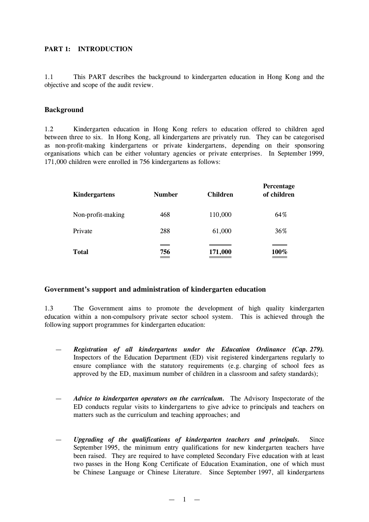# **PART 1: INTRODUCTION**

1.1 This PART describes the background to kindergarten education in Hong Kong and the objective and scope of the audit review.

#### **Background**

1.2 Kindergarten education in Hong Kong refers to education offered to children aged between three to six. In Hong Kong, all kindergartens are privately run. They can be categorised as non-profit-making kindergartens or private kindergartens, depending on their sponsoring organisations which can be either voluntary agencies or private enterprises. In September 1999, 171,000 children were enrolled in 756 kindergartens as follows:

| Kindergartens     | <b>Number</b>                   | <b>Children</b> | Percentage<br>of children |
|-------------------|---------------------------------|-----------------|---------------------------|
| Non-profit-making | 468                             | 110,000         | 64%                       |
| Private           | 288                             | 61,000          | 36%                       |
| <b>Total</b>      | 756<br>$\overline{\phantom{a}}$ | 171,000         | 100%                      |

# **Government's support and administration of kindergarten education**

1.3 The Government aims to promote the development of high quality kindergarten education within a non-compulsory private sector school system. This is achieved through the following support programmes for kindergarten education:

- *Registration of all kindergartens under the Education Ordinance (Cap. 279).* Inspectors of the Education Department (ED) visit registered kindergartens regularly to ensure compliance with the statutory requirements (e.g. charging of school fees as approved by the ED, maximum number of children in a classroom and safety standards);
- *Advice to kindergarten operators on the curriculum.* The Advisory Inspectorate of the ED conducts regular visits to kindergartens to give advice to principals and teachers on matters such as the curriculum and teaching approaches; and
- *Upgrading of the qualifications of kindergarten teachers and principals.* Since September 1995, the minimum entry qualifications for new kindergarten teachers have been raised. They are required to have completed Secondary Five education with at least two passes in the Hong Kong Certificate of Education Examination, one of which must be Chinese Language or Chinese Literature. Since September 1997, all kindergartens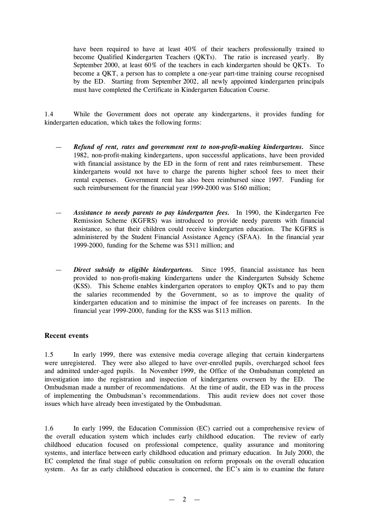have been required to have at least 40% of their teachers professionally trained to become Qualified Kindergarten Teachers (QKTs). The ratio is increased yearly. By September 2000, at least 60% of the teachers in each kindergarten should be QKTs. To become a QKT, a person has to complete a one-year part-time training course recognised by the ED. Starting from September 2002, all newly appointed kindergarten principals must have completed the Certificate in Kindergarten Education Course.

1.4 While the Government does not operate any kindergartens, it provides funding for kindergarten education, which takes the following forms:

- *Refund of rent, rates and government rent to non-profit-making kindergartens.* Since 1982, non-profit-making kindergartens, upon successful applications, have been provided with financial assistance by the ED in the form of rent and rates reimbursement. These kindergartens would not have to charge the parents higher school fees to meet their rental expenses. Government rent has also been reimbursed since 1997. Funding for such reimbursement for the financial year 1999-2000 was \$160 million;
- *Assistance to needy parents to pay kindergarten fees.* In 1990, the Kindergarten Fee Remission Scheme (KGFRS) was introduced to provide needy parents with financial assistance, so that their children could receive kindergarten education. The KGFRS is administered by the Student Financial Assistance Agency (SFAA). In the financial year 1999-2000, funding for the Scheme was \$311 million; and
- *Direct subsidy to eligible kindergartens.* Since 1995, financial assistance has been provided to non-profit-making kindergartens under the Kindergarten Subsidy Scheme (KSS). This Scheme enables kindergarten operators to employ QKTs and to pay them the salaries recommended by the Government, so as to improve the quality of kindergarten education and to minimise the impact of fee increases on parents. In the financial year 1999-2000, funding for the KSS was \$113 million.

#### **Recent events**

1.5 In early 1999, there was extensive media coverage alleging that certain kindergartens were unregistered. They were also alleged to have over-enrolled pupils, overcharged school fees and admitted under-aged pupils. In November 1999, the Office of the Ombudsman completed an investigation into the registration and inspection of kindergartens overseen by the ED. The Ombudsman made a number of recommendations. At the time of audit, the ED was in the process of implementing the Ombudsman's recommendations. This audit review does not cover those issues which have already been investigated by the Ombudsman.

1.6 In early 1999, the Education Commission (EC) carried out a comprehensive review of the overall education system which includes early childhood education. The review of early childhood education focused on professional competence, quality assurance and monitoring systems, and interface between early childhood education and primary education. In July 2000, the EC completed the final stage of public consultation on reform proposals on the overall education system. As far as early childhood education is concerned, the EC's aim is to examine the future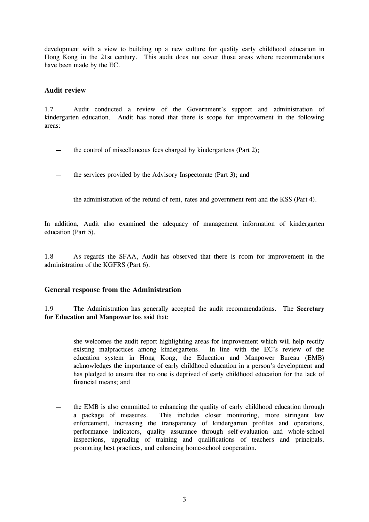development with a view to building up a new culture for quality early childhood education in Hong Kong in the 21st century. This audit does not cover those areas where recommendations have been made by the EC.

#### **Audit review**

1.7 Audit conducted a review of the Government's support and administration of kindergarten education. Audit has noted that there is scope for improvement in the following areas:

- the control of miscellaneous fees charged by kindergartens (Part 2);
- the services provided by the Advisory Inspectorate (Part 3); and
- the administration of the refund of rent, rates and government rent and the KSS (Part 4).

In addition, Audit also examined the adequacy of management information of kindergarten education (Part 5).

1.8 As regards the SFAA, Audit has observed that there is room for improvement in the administration of the KGFRS (Part 6).

#### **General response from the Administration**

1.9 The Administration has generally accepted the audit recommendations. The **Secretary for Education and Manpower** has said that:

- she welcomes the audit report highlighting areas for improvement which will help rectify existing malpractices among kindergartens. In line with the EC's review of the education system in Hong Kong, the Education and Manpower Bureau (EMB) acknowledges the importance of early childhood education in a person's development and has pledged to ensure that no one is deprived of early childhood education for the lack of financial means; and
- the EMB is also committed to enhancing the quality of early childhood education through a package of measures. This includes closer monitoring, more stringent law enforcement, increasing the transparency of kindergarten profiles and operations, performance indicators, quality assurance through self-evaluation and whole-school inspections, upgrading of training and qualifications of teachers and principals, promoting best practices, and enhancing home-school cooperation.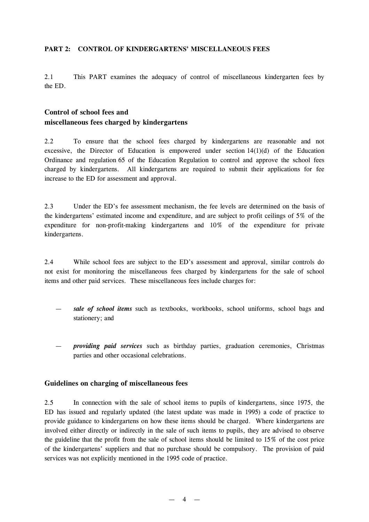#### **PART 2: CONTROL OF KINDERGARTENS'MISCELLANEOUS FEES**

2.1 This PART examines the adequacy of control of miscellaneous kindergarten fees by the ED.

# **Control of school fees and miscellaneous fees charged by kindergartens**

2.2 To ensure that the school fees charged by kindergartens are reasonable and not excessive, the Director of Education is empowered under section  $14(1)(d)$  of the Education Ordinance and regulation 65 of the Education Regulation to control and approve the school fees charged by kindergartens. All kindergartens are required to submit their applications for fee increase to the ED for assessment and approval.

2.3 Under the ED's fee assessment mechanism, the fee levels are determined on the basis of the kindergartens' estimated income and expenditure, and are subject to profit ceilings of 5% of the expenditure for non-profit-making kindergartens and 10% of the expenditure for private kindergartens.

2.4 While school fees are subject to the ED's assessment and approval, similar controls do not exist for monitoring the miscellaneous fees charged by kindergartens for the sale of school items and other paid services. These miscellaneous fees include charges for:

- *sale of school items* such as textbooks, workbooks, school uniforms, school bags and stationery; and
- *providing paid services* such as birthday parties, graduation ceremonies, Christmas parties and other occasional celebrations.

#### **Guidelines on charging of miscellaneous fees**

2.5 In connection with the sale of school items to pupils of kindergartens, since 1975, the ED has issued and regularly updated (the latest update was made in 1995) a code of practice to provide guidance to kindergartens on how these items should be charged. Where kindergartens are involved either directly or indirectly in the sale of such items to pupils, they are advised to observe the guideline that the profit from the sale of school items should be limited to 15% of the cost price of the kindergartens' suppliers and that no purchase should be compulsory. The provision of paid services was not explicitly mentioned in the 1995 code of practice.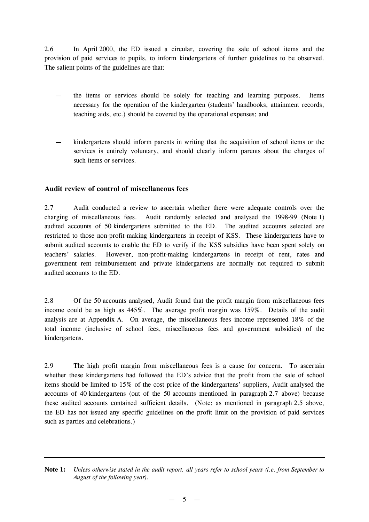2.6 In April 2000, the ED issued a circular, covering the sale of school items and the provision of paid services to pupils, to inform kindergartens of further guidelines to be observed. The salient points of the guidelines are that:

- the items or services should be solely for teaching and learning purposes. Items necessary for the operation of the kindergarten (students' handbooks, attainment records, teaching aids, etc.) should be covered by the operational expenses; and
- kindergartens should inform parents in writing that the acquisition of school items or the services is entirely voluntary, and should clearly inform parents about the charges of such items or services.

# **Audit review of control of miscellaneous fees**

2.7 Audit conducted a review to ascertain whether there were adequate controls over the charging of miscellaneous fees. Audit randomly selected and analysed the 1998-99 (Note 1) audited accounts of 50 kindergartens submitted to the ED. The audited accounts selected are restricted to those non-profit-making kindergartens in receipt of KSS. These kindergartens have to submit audited accounts to enable the ED to verify if the KSS subsidies have been spent solely on teachers' salaries. However, non-profit-making kindergartens in receipt of rent, rates and government rent reimbursement and private kindergartens are normally not required to submit audited accounts to the ED.

2.8 Of the 50 accounts analysed, Audit found that the profit margin from miscellaneous fees income could be as high as 445%. The average profit margin was 159%. Details of the audit analysis are at Appendix A. On average, the miscellaneous fees income represented 18% of the total income (inclusive of school fees, miscellaneous fees and government subsidies) of the kindergartens.

2.9 The high profit margin from miscellaneous fees is a cause for concern. To ascertain whether these kindergartens had followed the ED's advice that the profit from the sale of school items should be limited to 15% of the cost price of the kindergartens' suppliers, Audit analysed the accounts of 40 kindergartens (out of the 50 accounts mentioned in paragraph 2.7 above) because these audited accounts contained sufficient details. (Note: as mentioned in paragraph 2.5 above, the ED has not issued any specific guidelines on the profit limit on the provision of paid services such as parties and celebrations.)

**Note 1:** Unless otherwise stated in the audit report, all years refer to school years (i.e. from September to *August of the following year).*

 $-5$   $-$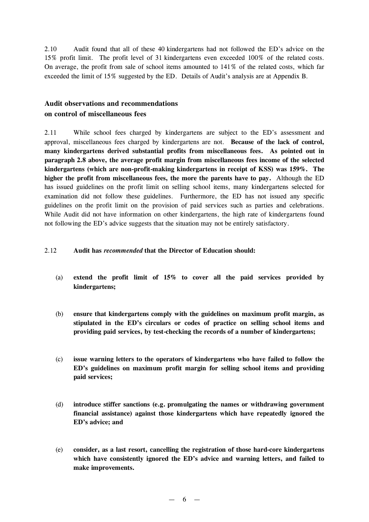2.10 Audit found that all of these 40 kindergartens had not followed the ED's advice on the 15% profit limit. The profit level of 31 kindergartens even exceeded 100% of the related costs. On average, the profit from sale of school items amounted to 141% of the related costs, which far exceeded the limit of 15% suggested by the ED. Details of Audit's analysis are at Appendix B.

# **Audit observations and recommendations on control of miscellaneous fees**

2.11 While school fees charged by kindergartens are subject to the ED's assessment and approval, miscellaneous fees charged by kindergartens are not. **Because of the lack of control, many kindergartens derived substantial profits from miscellaneous fees. As pointed out in paragraph 2.8 above, the average profit margin from miscellaneous fees income of the selected kindergartens (which are non-profit-making kindergartens in receipt of KSS) was 159%. The higher the profit from miscellaneous fees, the more the parents have to pay.** Although the ED has issued guidelines on the profit limit on selling school items, many kindergartens selected for examination did not follow these guidelines. Furthermore, the ED has not issued any specific guidelines on the profit limit on the provision of paid services such as parties and celebrations. While Audit did not have information on other kindergartens, the high rate of kindergartens found not following the ED's advice suggests that the situation may not be entirely satisfactory.

## 2.12 **Audit has** *recommended* **that the Director of Education should:**

- (a) **extend the profit limit of 15% to cover all the paid services provided by kindergartens;**
- (b) **ensure that kindergartens comply with the guidelines on maximum profit margin, as stipulated in the ED's circulars or codes of practice on selling school items and providing paid services, by test-checking the records of a number of kindergartens;**
- (c) **issue warning letters to the operators of kindergartens who have failed to follow the ED's guidelines on maximum profit margin for selling school items and providing paid services;**
- (d) **introduce stiffer sanctions (e.g. promulgating the names or withdrawing government financial assistance) against those kindergartens which have repeatedly ignored the ED's advice; and**
- (e) **consider, as a last resort, cancelling the registration of those hard-core kindergartens which have consistently ignored the ED's advice and warning letters, and failed to make improvements.**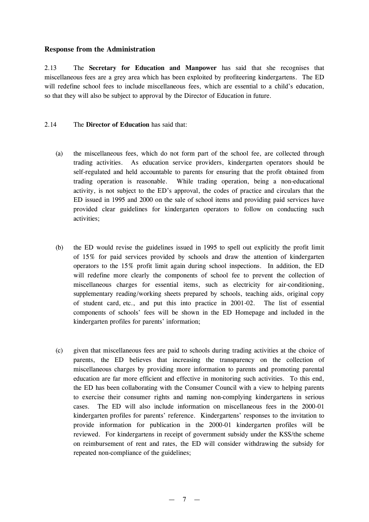## **Response from the Administration**

2.13 The **Secretary for Education and Manpower** has said that she recognises that miscellaneous fees are a grey area which has been exploited by profiteering kindergartens. The ED will redefine school fees to include miscellaneous fees, which are essential to a child's education, so that they will also be subject to approval by the Director of Education in future.

#### 2.14 The **Director of Education** has said that:

- (a) the miscellaneous fees, which do not form part of the school fee, are collected through trading activities. As education service providers, kindergarten operators should be self-regulated and held accountable to parents for ensuring that the profit obtained from trading operation is reasonable. While trading operation, being a non-educational activity, is not subject to the ED's approval, the codes of practice and circulars that the ED issued in 1995 and 2000 on the sale of school items and providing paid services have provided clear guidelines for kindergarten operators to follow on conducting such activities;
- (b) the ED would revise the guidelines issued in 1995 to spell out explicitly the profit limit of 15% for paid services provided by schools and draw the attention of kindergarten operators to the 15% profit limit again during school inspections. In addition, the ED will redefine more clearly the components of school fee to prevent the collection of miscellaneous charges for essential items, such as electricity for air-conditioning, supplementary reading/working sheets prepared by schools, teaching aids, original copy of student card, etc., and put this into practice in 2001-02. The list of essential components of schools' fees will be shown in the ED Homepage and included in the kindergarten profiles for parents' information;
- (c) given that miscellaneous fees are paid to schools during trading activities at the choice of parents, the ED believes that increasing the transparency on the collection of miscellaneous charges by providing more information to parents and promoting parental education are far more efficient and effective in monitoring such activities. To this end, the ED has been collaborating with the Consumer Council with a view to helping parents to exercise their consumer rights and naming non-complying kindergartens in serious cases. The ED will also include information on miscellaneous fees in the 2000-01 kindergarten profiles for parents' reference. Kindergartens' responses to the invitation to provide information for publication in the 2000-01 kindergarten profiles will be reviewed. For kindergartens in receipt of government subsidy under the KSS/the scheme on reimbursement of rent and rates, the ED will consider withdrawing the subsidy for repeated non-compliance of the guidelines;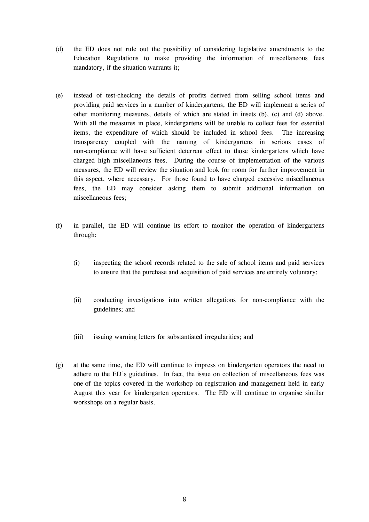- (d) the ED does not rule out the possibility of considering legislative amendments to the Education Regulations to make providing the information of miscellaneous fees mandatory, if the situation warrants it;
- (e) instead of test-checking the details of profits derived from selling school items and providing paid services in a number of kindergartens, the ED will implement a series of other monitoring measures, details of which are stated in insets (b), (c) and (d) above. With all the measures in place, kindergartens will be unable to collect fees for essential items, the expenditure of which should be included in school fees. The increasing transparency coupled with the naming of kindergartens in serious cases of non-compliance will have sufficient deterrent effect to those kindergartens which have charged high miscellaneous fees. During the course of implementation of the various measures, the ED will review the situation and look for room for further improvement in this aspect, where necessary. For those found to have charged excessive miscellaneous fees, the ED may consider asking them to submit additional information on miscellaneous fees;
- (f) in parallel, the ED will continue its effort to monitor the operation of kindergartens through:
	- (i) inspecting the school records related to the sale of school items and paid services to ensure that the purchase and acquisition of paid services are entirely voluntary;
	- (ii) conducting investigations into written allegations for non-compliance with the guidelines; and
	- (iii) issuing warning letters for substantiated irregularities; and
- (g) at the same time, the ED will continue to impress on kindergarten operators the need to adhere to the ED's guidelines. In fact, the issue on collection of miscellaneous fees was one of the topics covered in the workshop on registration and management held in early August this year for kindergarten operators. The ED will continue to organise similar workshops on a regular basis.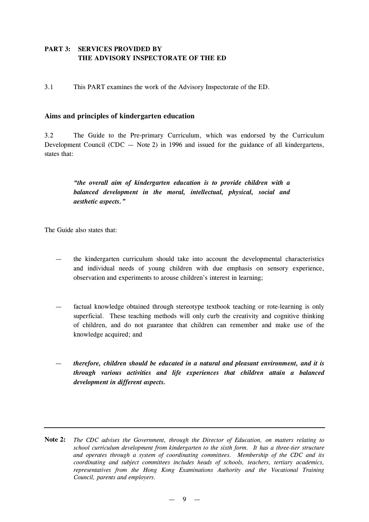# **PART 3: SERVICES PROVIDED BY THE ADVISORY INSPECTORATE OF THE ED**

3.1 This PART examines the work of the Advisory Inspectorate of the ED.

# **Aims and principles of kindergarten education**

3.2 The Guide to the Pre-primary Curriculum, which was endorsed by the Curriculum Development Council (CDC  $-$  Note 2) in 1996 and issued for the guidance of all kindergartens, states that:

> *"the overall aim of kindergarten education is to provide children with a balanced development in the moral, intellectual, physical, social and aesthetic aspects."*

The Guide also states that:

- the kindergarten curriculum should take into account the developmental characteristics and individual needs of young children with due emphasis on sensory experience, observation and experiments to arouse children's interest in learning;
- factual knowledge obtained through stereotype textbook teaching or rote-learning is only superficial. These teaching methods will only curb the creativity and cognitive thinking of children, and do not guarantee that children can remember and make use of the knowledge acquired; and
- *therefore, children should be educated in a natural and pleasant environment, and it is through various activities and life experiences that children attain a balanced development in different aspects.*
- **Note 2:** *The CDC advises the Government, through the Director of Education, on matters relating to school curriculum development from kindergarten to the sixth form. It has a three-tier structure and operates through a system of coordinating committees. Membership of the CDC and its coordinating and subject committees includes heads of schools, teachers, tertiary academics, representatives from the Hong Kong Examinations Authority and the Vocational Training Council, parents and employers.*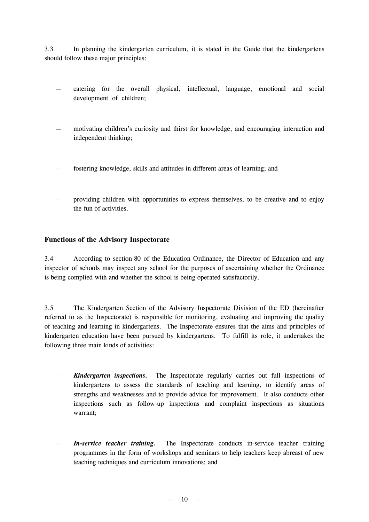3.3 In planning the kindergarten curriculum, it is stated in the Guide that the kindergartens should follow these major principles:

- catering for the overall physical, intellectual, language, emotional and social development of children;
- motivating children's curiosity and thirst for knowledge, and encouraging interaction and independent thinking;
- fostering knowledge, skills and attitudes in different areas of learning; and
- providing children with opportunities to express themselves, to be creative and to enjoy the fun of activities.

# **Functions of the Advisory Inspectorate**

3.4 According to section 80 of the Education Ordinance, the Director of Education and any inspector of schools may inspect any school for the purposes of ascertaining whether the Ordinance is being complied with and whether the school is being operated satisfactorily.

3.5 The Kindergarten Section of the Advisory Inspectorate Division of the ED (hereinafter referred to as the Inspectorate) is responsible for monitoring, evaluating and improving the quality of teaching and learning in kindergartens. The Inspectorate ensures that the aims and principles of kindergarten education have been pursued by kindergartens. To fulfill its role, it undertakes the following three main kinds of activities:

- *Kindergarten inspections.* The Inspectorate regularly carries out full inspections of kindergartens to assess the standards of teaching and learning, to identify areas of strengths and weaknesses and to provide advice for improvement. It also conducts other inspections such as follow-up inspections and complaint inspections as situations warrant;
- *In-service teacher training.* The Inspectorate conducts in-service teacher training programmes in the form of workshops and seminars to help teachers keep abreast of new teaching techniques and curriculum innovations; and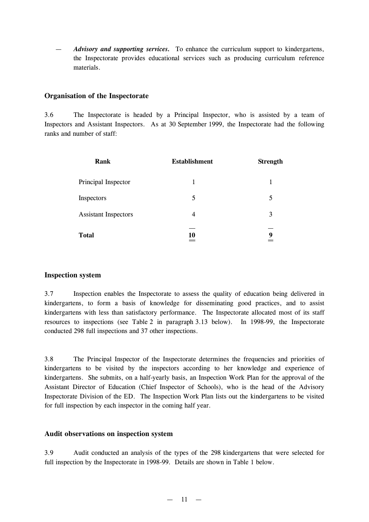— *Advisory and supporting services.* To enhance the curriculum support to kindergartens, the Inspectorate provides educational services such as producing curriculum reference materials.

## **Organisation of the Inspectorate**

3.6 The Inspectorate is headed by a Principal Inspector, who is assisted by a team of Inspectors and Assistant Inspectors. As at 30 September 1999, the Inspectorate had the following ranks and number of staff:

| Rank                        | <b>Establishment</b> | <b>Strength</b> |
|-----------------------------|----------------------|-----------------|
| Principal Inspector         | 1                    |                 |
| Inspectors                  | 5                    | 5               |
| <b>Assistant Inspectors</b> | 4                    | 3               |
| <b>Total</b>                | 10                   | 9               |

#### **Inspection system**

3.7 Inspection enables the Inspectorate to assess the quality of education being delivered in kindergartens, to form a basis of knowledge for disseminating good practices, and to assist kindergartens with less than satisfactory performance. The Inspectorate allocated most of its staff resources to inspections (see Table 2 in paragraph 3.13 below). In 1998-99, the Inspectorate conducted 298 full inspections and 37 other inspections.

3.8 The Principal Inspector of the Inspectorate determines the frequencies and priorities of kindergartens to be visited by the inspectors according to her knowledge and experience of kindergartens. She submits, on a half-yearly basis, an Inspection Work Plan for the approval of the Assistant Director of Education (Chief Inspector of Schools), who is the head of the Advisory Inspectorate Division of the ED. The Inspection Work Plan lists out the kindergartens to be visited for full inspection by each inspector in the coming half year.

#### **Audit observations on inspection system**

3.9 Audit conducted an analysis of the types of the 298 kindergartens that were selected for full inspection by the Inspectorate in 1998-99. Details are shown in Table 1 below.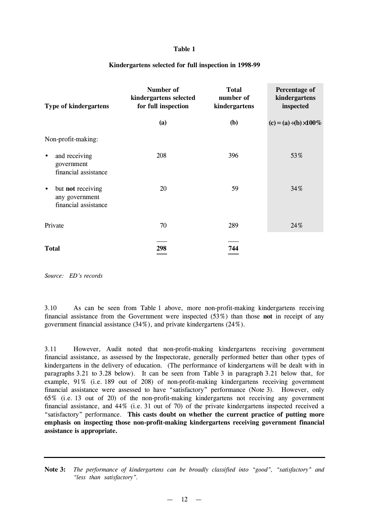#### **Table 1**

#### **Kindergartens selected for full inspection in 1998-99**

| <b>Type of kindergartens</b>                                             | Number of<br>kindergartens selected<br>for full inspection | <b>Total</b><br>number of<br>kindergartens | Percentage of<br>kindergartens<br>inspected |
|--------------------------------------------------------------------------|------------------------------------------------------------|--------------------------------------------|---------------------------------------------|
|                                                                          | (a)                                                        | <b>(b)</b>                                 | $(c) = (a)$ (b) $100\%$                     |
| Non-profit-making:                                                       |                                                            |                                            |                                             |
| and receiving<br>$\bullet$<br>government<br>financial assistance         | 208                                                        | 396                                        | 53%                                         |
| but not receiving<br>$\bullet$<br>any government<br>financial assistance | 20                                                         | 59                                         | 34%                                         |
| Private                                                                  | 70                                                         | 289                                        | 24%                                         |
| <b>Total</b>                                                             | 298                                                        | 744                                        |                                             |

*Source: ED's records*

3.10 As can be seen from Table 1 above, more non-profit-making kindergartens receiving financial assistance from the Government were inspected (53%) than those **not** in receipt of any government financial assistance (34%), and private kindergartens (24%).

3.11 However, Audit noted that non-profit-making kindergartens receiving government financial assistance, as assessed by the Inspectorate, generally performed better than other types of kindergartens in the delivery of education. (The performance of kindergartens will be dealt with in paragraphs 3.21 to 3.28 below). It can be seen from Table 3 in paragraph 3.21 below that, for example, 91% (i.e. 189 out of 208) of non-profit-making kindergartens receiving government financial assistance were assessed to have "satisfactory" performance (Note 3). However, only 65% (i.e. 13 out of 20) of the non-profit-making kindergartens not receiving any government financial assistance, and 44% (i.e. 31 out of 70) of the private kindergartens inspected received a "satisfactory" performance. **This casts doubt on whether the current practice of putting more emphasis on inspecting those non-profit-making kindergartens receiving government financial assistance is appropriate.**

**Note 3:** *The performance of kindergartens can be broadly classified into "good", "satisfactory" and "less than satisfactory".*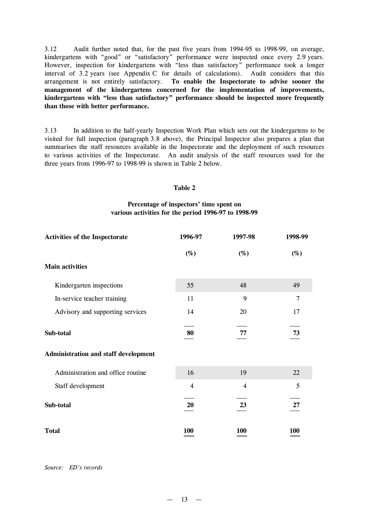3.12 Audit further noted that, for the past five years from 1994-95 to 1998-99, on average, kindergartens with "good" or "satisfactory" performance were inspected once every 2.9 years. However, inspection for kindergartens with "less than satisfactory" performance took a longer interval of 3.2 years (see Appendix C for details of calculations). Audit considers that this arrangement is not entirely satisfactory. **To enable the Inspectorate to advise sooner the management of the kindergartens concerned for the implementation of improvements, kindergartens with "less than satisfactory" performance should be inspected more frequently than those with better performance.**

3.13 In addition to the half-yearly Inspection Work Plan which sets out the kindergartens to be visited for full inspection (paragraph 3.8 above), the Principal Inspector also prepares a plan that summarises the staff resources available in the Inspectorate and the deployment of such resources to various activities of the Inspectorate. An audit analysis of the staff resources used for the three years from 1996-97 to 1998-99 is shown in Table 2 below.

#### **Table 2**

#### **Percentage of inspectors'time spent on various activities for the period 1996-97 to 1998-99**

| <b>Activities of the Inspectorate</b> | 1996-97        | 1997-98        | 1998-99        |
|---------------------------------------|----------------|----------------|----------------|
|                                       | $(\%)$         | $(\%)$         | $(\%)$         |
| <b>Main activities</b>                |                |                |                |
| Kindergarten inspections              | 55             | 48             | 49             |
| In-service teacher training           | 11             | 9              | $\overline{7}$ |
| Advisory and supporting services      | 14             | 20             | 17             |
| Sub-total                             | 80             | 77             | 73             |
| Administration and staff development  |                |                |                |
| Administration and office routine     | 16             | 19             | 22             |
| Staff development                     | $\overline{4}$ | $\overline{4}$ | 5              |
| Sub-total                             | 20             | 23             | 27             |
| <b>Total</b>                          | 100            | 100            | 100            |

#### *Source: ED's records*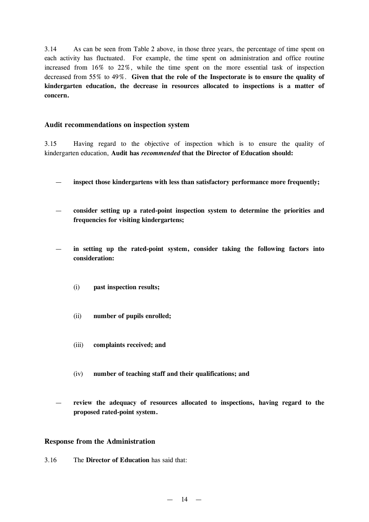3.14 As can be seen from Table 2 above, in those three years, the percentage of time spent on each activity has fluctuated. For example, the time spent on administration and office routine increased from 16% to 22%, while the time spent on the more essential task of inspection decreased from 55% to 49%. **Given that the role of the Inspectorate is to ensure the quality of kindergarten education, the decrease in resources allocated to inspections is a matter of concern.**

#### **Audit recommendations on inspection system**

3.15 Having regard to the objective of inspection which is to ensure the quality of kindergarten education, **Audit has** *recommended* **that the Director of Education should:**

- **inspect those kindergartens with less than satisfactory performance more frequently;**
- **consider setting up a rated-point inspection system to determine the priorities and frequencies for visiting kindergartens;**
- **in setting up the rated-point system, consider taking the following factors into consideration:**
	- (i) **past inspection results;**
	- (ii) **number of pupils enrolled;**
	- (iii) **complaints received; and**
	- (iv) **number of teaching staff and their qualifications; and**
- **review the adequacy of resources allocated to inspections, having regard to the proposed rated-point system.**

#### **Response from the Administration**

3.16 The **Director of Education** has said that: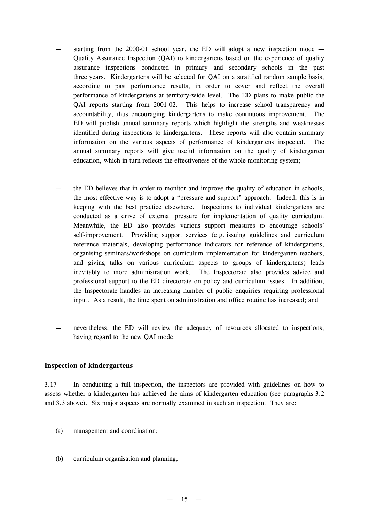- starting from the 2000-01 school year, the ED will adopt a new inspection mode  $-$ Quality Assurance Inspection (QAI) to kindergartens based on the experience of quality assurance inspections conducted in primary and secondary schools in the past three years. Kindergartens will be selected for QAI on a stratified random sample basis, according to past performance results, in order to cover and reflect the overall performance of kindergartens at territory-wide level. The ED plans to make public the QAI reports starting from 2001-02. This helps to increase school transparency and accountability, thus encouraging kindergartens to make continuous improvement. The ED will publish annual summary reports which highlight the strengths and weaknesses identified during inspections to kindergartens. These reports will also contain summary information on the various aspects of performance of kindergartens inspected. The annual summary reports will give useful information on the quality of kindergarten education, which in turn reflects the effectiveness of the whole monitoring system;
- the ED believes that in order to monitor and improve the quality of education in schools, the most effective way is to adopt a "pressure and support" approach. Indeed, this is in keeping with the best practice elsewhere. Inspections to individual kindergartens are conducted as a drive of external pressure for implementation of quality curriculum. Meanwhile, the ED also provides various support measures to encourage schools' self-improvement. Providing support services (e.g. issuing guidelines and curriculum reference materials, developing performance indicators for reference of kindergartens, organising seminars/workshops on curriculum implementation for kindergarten teachers, and giving talks on various curriculum aspects to groups of kindergartens) leads inevitably to more administration work. The Inspectorate also provides advice and professional support to the ED directorate on policy and curriculum issues. In addition, the Inspectorate handles an increasing number of public enquiries requiring professional input. As a result, the time spent on administration and office routine has increased; and
- nevertheless, the ED will review the adequacy of resources allocated to inspections, having regard to the new QAI mode.

#### **Inspection of kindergartens**

3.17 In conducting a full inspection, the inspectors are provided with guidelines on how to assess whether a kindergarten has achieved the aims of kindergarten education (see paragraphs 3.2 and 3.3 above). Six major aspects are normally examined in such an inspection. They are:

- (a) management and coordination;
- (b) curriculum organisation and planning;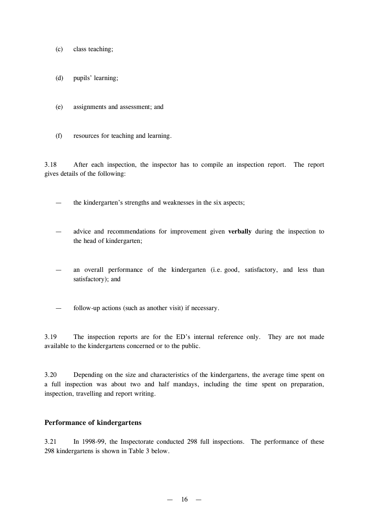- (c) class teaching;
- (d) pupils' learning;
- (e) assignments and assessment; and
- (f) resources for teaching and learning.

3.18 After each inspection, the inspector has to compile an inspection report. The report gives details of the following:

— the kindergarten's strengths and weaknesses in the six aspects;

- advice and recommendations for improvement given **verbally** during the inspection to the head of kindergarten;
- an overall performance of the kindergarten (i.e. good, satisfactory, and less than satisfactory); and
- follow-up actions (such as another visit) if necessary.

3.19 The inspection reports are for the ED's internal reference only. They are not made available to the kindergartens concerned or to the public.

3.20 Depending on the size and characteristics of the kindergartens, the average time spent on a full inspection was about two and half mandays, including the time spent on preparation, inspection, travelling and report writing.

#### **Performance of kindergartens**

3.21 In 1998-99, the Inspectorate conducted 298 full inspections. The performance of these 298 kindergartens is shown in Table 3 below.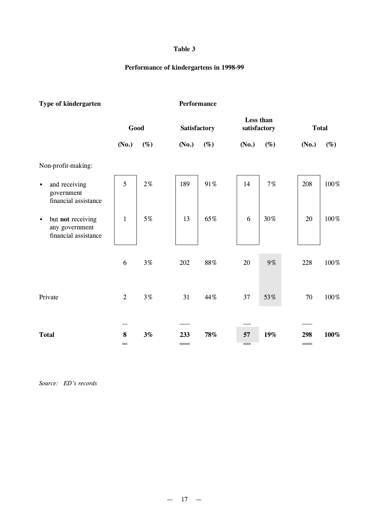## **Table 3**

# **Performance of kindergartens in 1998-99**

| Type of kindergarten                                                     |                                            |         | Performance  |          |                           |        |                          |        |
|--------------------------------------------------------------------------|--------------------------------------------|---------|--------------|----------|---------------------------|--------|--------------------------|--------|
|                                                                          | Good                                       |         | Satisfactory |          | Less than<br>satisfactory |        | <b>Total</b>             |        |
|                                                                          | (No.)                                      | $(\%)$  | (No.)        | $(\%)$   | (No.)                     | $(\%)$ | (No.)                    | $(\%)$ |
| Non-profit-making:                                                       |                                            |         |              |          |                           |        |                          |        |
| and receiving<br>$\bullet$<br>government<br>financial assistance         | 5                                          | $2\%$   | 189          | 91%      | 14                        | 7%     | 208                      | 100%   |
| but not receiving<br>$\bullet$<br>any government<br>financial assistance | $\mathbf{1}$                               | 5%      | 13           | 65%      | 6                         | 30%    | 20                       | 100%   |
|                                                                          | 6                                          | $3\,\%$ | 202          | $88\,\%$ | 20                        | 9%     | 228                      | 100%   |
| Private                                                                  | $\overline{2}$                             | $3\,\%$ | 31           | 44%      | 37                        | 53%    | 70                       | 100%   |
|                                                                          |                                            |         |              |          |                           |        |                          |        |
| <b>Total</b>                                                             | $\bf 8$<br>$\qquad \qquad = \qquad \qquad$ | 3%      | 233          | $78\%$   | 57                        | 19%    | 298<br>$\equiv$ $\equiv$ | 100%   |

*Source: ED's records*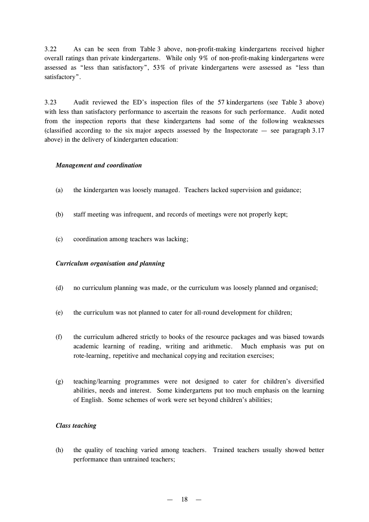3.22 As can be seen from Table 3 above, non-profit-making kindergartens received higher overall ratings than private kindergartens. While only 9% of non-profit-making kindergartens were assessed as "less than satisfactory", 53% of private kindergartens were assessed as "less than satisfactory".

3.23 Audit reviewed the ED's inspection files of the 57 kindergartens (see Table 3 above) with less than satisfactory performance to ascertain the reasons for such performance. Audit noted from the inspection reports that these kindergartens had some of the following weaknesses (classified according to the six major aspects assessed by the Inspectorate  $-$  see paragraph 3.17 above) in the delivery of kindergarten education:

#### *Management and coordination*

- (a) the kindergarten was loosely managed. Teachers lacked supervision and guidance;
- (b) staff meeting was infrequent, and records of meetings were not properly kept;
- (c) coordination among teachers was lacking;

#### *Curriculum organisation and planning*

- (d) no curriculum planning was made, or the curriculum was loosely planned and organised;
- (e) the curriculum was not planned to cater for all-round development for children;
- (f) the curriculum adhered strictly to books of the resource packages and was biased towards academic learning of reading, writing and arithmetic. Much emphasis was put on rote-learning, repetitive and mechanical copying and recitation exercises;
- (g) teaching/learning programmes were not designed to cater for children's diversified abilities, needs and interest. Some kindergartens put too much emphasis on the learning of English. Some schemes of work were set beyond children's abilities;

#### *Class teaching*

(h) the quality of teaching varied among teachers. Trained teachers usually showed better performance than untrained teachers;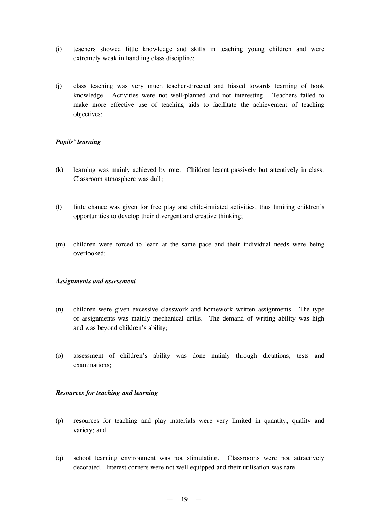- (i) teachers showed little knowledge and skills in teaching young children and were extremely weak in handling class discipline;
- (j) class teaching was very much teacher-directed and biased towards learning of book knowledge. Activities were not well-planned and not interesting. Teachers failed to make more effective use of teaching aids to facilitate the achievement of teaching objectives;

## *Pupils'learning*

- (k) learning was mainly achieved by rote. Children learnt passively but attentively in class. Classroom atmosphere was dull;
- (l) little chance was given for free play and child-initiated activities, thus limiting children's opportunities to develop their divergent and creative thinking;
- (m) children were forced to learn at the same pace and their individual needs were being overlooked;

#### *Assignments and assessment*

- (n) children were given excessive classwork and homework written assignments. The type of assignments was mainly mechanical drills. The demand of writing ability was high and was beyond children's ability;
- (o) assessment of children's ability was done mainly through dictations, tests and examinations;

#### *Resources for teaching and learning*

- (p) resources for teaching and play materials were very limited in quantity, quality and variety; and
- (q) school learning environment was not stimulating. Classrooms were not attractively decorated. Interest corners were not well equipped and their utilisation was rare.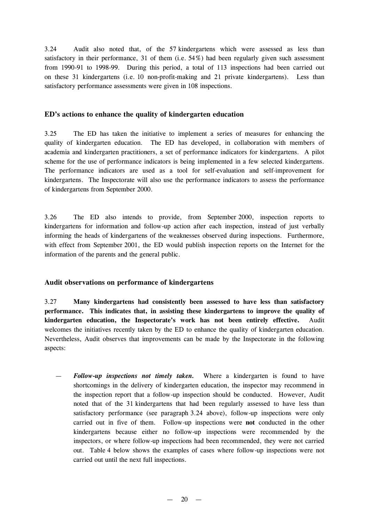3.24 Audit also noted that, of the 57 kindergartens which were assessed as less than satisfactory in their performance, 31 of them (i.e. 54%) had been regularly given such assessment from 1990-91 to 1998-99. During this period, a total of 113 inspections had been carried out on these 31 kindergartens (i.e. 10 non-profit-making and 21 private kindergartens). Less than satisfactory performance assessments were given in 108 inspections.

## **ED's actions to enhance the quality of kindergarten education**

3.25 The ED has taken the initiative to implement a series of measures for enhancing the quality of kindergarten education. The ED has developed, in collaboration with members of academia and kindergarten practitioners, a set of performance indicators for kindergartens. A pilot scheme for the use of performance indicators is being implemented in a few selected kindergartens. The performance indicators are used as a tool for self-evaluation and self-improvement for kindergartens. The Inspectorate will also use the performance indicators to assess the performance of kindergartens from September 2000.

3.26 The ED also intends to provide, from September 2000, inspection reports to kindergartens for information and follow-up action after each inspection, instead of just verbally informing the heads of kindergartens of the weaknesses observed during inspections. Furthermore, with effect from September 2001, the ED would publish inspection reports on the Internet for the information of the parents and the general public.

#### **Audit observations on performance of kindergartens**

3.27 **Many kindergartens had consistently been assessed to have less than satisfactory performance. This indicates that, in assisting these kindergartens to improve the quality of kindergarten education, the Inspectorate's work has not been entirely effective.** Audit welcomes the initiatives recently taken by the ED to enhance the quality of kindergarten education. Nevertheless, Audit observes that improvements can be made by the Inspectorate in the following aspects:

— *Follow-up inspections not timely taken.* Where a kindergarten is found to have shortcomings in the delivery of kindergarten education, the inspector may recommend in the inspection report that a follow-up inspection should be conducted. However, Audit noted that of the 31 kindergartens that had been regularly assessed to have less than satisfactory performance (see paragraph 3.24 above), follow-up inspections were only carried out in five of them. Follow-up inspections were **not** conducted in the other kindergartens because either no follow-up inspections were recommended by the inspectors, or where follow-up inspections had been recommended, they were not carried out. Table 4 below shows the examples of cases where follow-up inspections were not carried out until the next full inspections.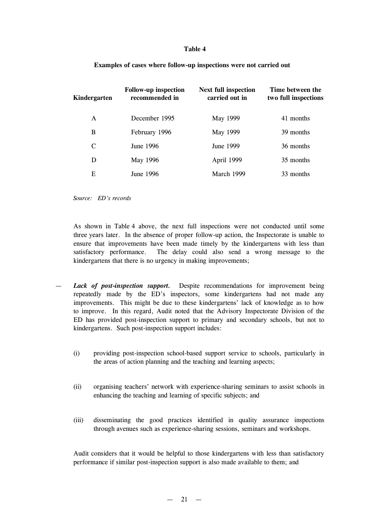#### **Table 4**

| Kindergarten | <b>Follow-up inspection</b><br>recommended in | <b>Next full inspection</b><br>carried out in | Time between the<br>two full inspections |  |  |
|--------------|-----------------------------------------------|-----------------------------------------------|------------------------------------------|--|--|
| A            | December 1995                                 | May 1999                                      | 41 months                                |  |  |
| B            | February 1996                                 | May 1999                                      | 39 months                                |  |  |
| $\mathsf{C}$ | June 1996                                     | June 1999                                     | 36 months                                |  |  |
| D            | May 1996                                      | April 1999                                    | 35 months                                |  |  |
| Е            | June 1996                                     | March 1999                                    | 33 months                                |  |  |

#### **Examples of cases where follow-up inspections were not carried out**

*Source: ED's records*

As shown in Table 4 above, the next full inspections were not conducted until some three years later. In the absence of proper follow-up action, the Inspectorate is unable to ensure that improvements have been made timely by the kindergartens with less than satisfactory performance. The delay could also send a wrong message to the kindergartens that there is no urgency in making improvements;

- *Lack of post-inspection support.* Despite recommendations for improvement being repeatedly made by the ED's inspectors, some kindergartens had not made any improvements. This might be due to these kindergartens' lack of knowledge as to how to improve. In this regard, Audit noted that the Advisory Inspectorate Division of the ED has provided post-inspection support to primary and secondary schools, but not to kindergartens. Such post-inspection support includes:
	- (i) providing post-inspection school-based support service to schools, particularly in the areas of action planning and the teaching and learning aspects;
	- (ii) organising teachers' network with experience-sharing seminars to assist schools in enhancing the teaching and learning of specific subjects; and
	- (iii) disseminating the good practices identified in quality assurance inspections through avenues such as experience-sharing sessions, seminars and workshops.

Audit considers that it would be helpful to those kindergartens with less than satisfactory performance if similar post-inspection support is also made available to them; and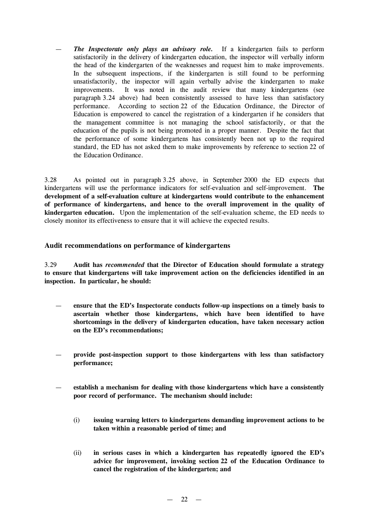— *The Inspectorate only plays an advisory role.* If a kindergarten fails to perform satisfactorily in the delivery of kindergarten education, the inspector will verbally inform the head of the kindergarten of the weaknesses and request him to make improvements. In the subsequent inspections, if the kindergarten is still found to be performing unsatisfactorily, the inspector will again verbally advise the kindergarten to make improvements. It was noted in the audit review that many kindergartens (see paragraph 3.24 above) had been consistently assessed to have less than satisfactory performance. According to section 22 of the Education Ordinance, the Director of Education is empowered to cancel the registration of a kindergarten if he considers that the management committee is not managing the school satisfactorily, or that the education of the pupils is not being promoted in a proper manner. Despite the fact that the performance of some kindergartens has consistently been not up to the required standard, the ED has not asked them to make improvements by reference to section 22 of the Education Ordinance.

3.28 As pointed out in paragraph 3.25 above, in September 2000 the ED expects that kindergartens will use the performance indicators for self-evaluation and self-improvement. **The development of a self-evaluation culture at kindergartens would contribute to the enhancement of performance of kindergartens, and hence to the overall improvement in the quality of kindergarten education.** Upon the implementation of the self-evaluation scheme, the ED needs to closely monitor its effectiveness to ensure that it will achieve the expected results.

## **Audit recommendations on performance of kindergartens**

3.29 **Audit has** *recommended* **that the Director of Education should formulate a strategy to ensure that kindergartens will take improvement action on the deficiencies identified in an inspection. In particular, he should:**

- **ensure that the ED's Inspectorate conducts follow-up inspections on a timely basis to ascertain whether those kindergartens, which have been identified to have shortcomings in the delivery of kindergarten education, have taken necessary action on the ED's recommendations;**
- **provide post-inspection support to those kindergartens with less than satisfactory performance;**
- **establish a mechanism for dealing with those kindergartens which have a consistently poor record of performance. The mechanism should include:**
	- (i) **issuing warning letters to kindergartens demanding improvement actions to be taken within a reasonable period of time; and**
	- (ii) **in serious cases in which a kindergarten has repeatedly ignored the ED's advice for improvement, invoking section 22 of the Education Ordinance to cancel the registration of the kindergarten; and**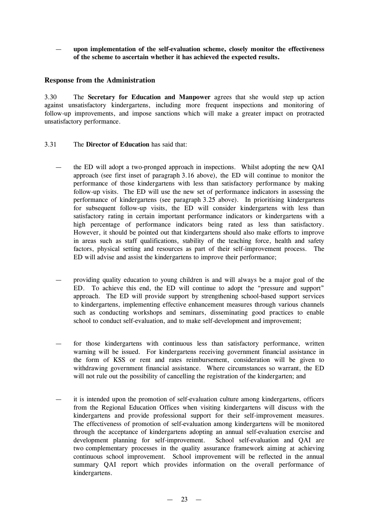— **upon implementation of the self-evaluation scheme, closely monitor the effectiveness of the scheme to ascertain whether it has achieved the expected results.**

## **Response from the Administration**

3.30 The **Secretary for Education and Manpower** agrees that she would step up action against unsatisfactory kindergartens, including more frequent inspections and monitoring of follow-up improvements, and impose sanctions which will make a greater impact on protracted unsatisfactory performance.

- 3.31 The **Director of Education** has said that:
	- the ED will adopt a two-pronged approach in inspections. Whilst adopting the new QAI approach (see first inset of paragraph 3.16 above), the ED will continue to monitor the performance of those kindergartens with less than satisfactory performance by making follow-up visits. The ED will use the new set of performance indicators in assessing the performance of kindergartens (see paragraph 3.25 above). In prioritising kindergartens for subsequent follow-up visits, the ED will consider kindergartens with less than satisfactory rating in certain important performance indicators or kindergartens with a high percentage of performance indicators being rated as less than satisfactory. However, it should be pointed out that kindergartens should also make efforts to improve in areas such as staff qualifications, stability of the teaching force, health and safety factors, physical setting and resources as part of their self-improvement process. The ED will advise and assist the kindergartens to improve their performance;
	- providing quality education to young children is and will always be a major goal of the ED. To achieve this end, the ED will continue to adopt the "pressure and support" approach. The ED will provide support by strengthening school-based support services to kindergartens, implementing effective enhancement measures through various channels such as conducting workshops and seminars, disseminating good practices to enable school to conduct self-evaluation, and to make self-development and improvement;
	- for those kindergartens with continuous less than satisfactory performance, written warning will be issued. For kindergartens receiving government financial assistance in the form of KSS or rent and rates reimbursement, consideration will be given to withdrawing government financial assistance. Where circumstances so warrant, the ED will not rule out the possibility of cancelling the registration of the kindergarten; and
	- it is intended upon the promotion of self-evaluation culture among kindergartens, officers from the Regional Education Offices when visiting kindergartens will discuss with the kindergartens and provide professional support for their self-improvement measures. The effectiveness of promotion of self-evaluation among kindergartens will be monitored through the acceptance of kindergartens adopting an annual self-evaluation exercise and development planning for self-improvement. School self-evaluation and QAI are two complementary processes in the quality assurance framework aiming at achieving continuous school improvement. School improvement will be reflected in the annual summary QAI report which provides information on the overall performance of kindergartens.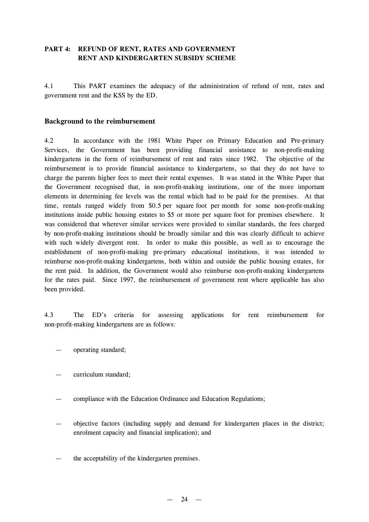# **PART 4: REFUND OF RENT, RATES AND GOVERNMENT RENT AND KINDERGARTEN SUBSIDY SCHEME**

4.1 This PART examines the adequacy of the administration of refund of rent, rates and government rent and the KSS by the ED.

## **Background to the reimbursement**

4.2 In accordance with the 1981 White Paper on Primary Education and Pre-primary Services, the Government has been providing financial assistance to non-profit-making kindergartens in the form of reimbursement of rent and rates since 1982. The objective of the reimbursement is to provide financial assistance to kindergartens, so that they do not have to charge the parents higher fees to meet their rental expenses. It was stated in the White Paper that the Government recognised that, in non-profit-making institutions, one of the more important elements in determining fee levels was the rental which had to be paid for the premises. At that time, rentals ranged widely from \$0.5 per square foot per month for some non-profit-making institutions inside public housing estates to \$5 or more per square foot for premises elsewhere. It was considered that wherever similar services were provided to similar standards, the fees charged by non-profit-making institutions should be broadly similar and this was clearly difficult to achieve with such widely divergent rent. In order to make this possible, as well as to encourage the establishment of non-profit-making pre-primary educational institutions, it was intended to reimburse non-profit-making kindergartens, both within and outside the public housing estates, for the rent paid. In addition, the Government would also reimburse non-profit-making kindergartens for the rates paid. Since 1997, the reimbursement of government rent where applicable has also been provided.

4.3 The ED's criteria for assessing applications for rent reimbursement for non-profit-making kindergartens are as follows:

- operating standard:
- curriculum standard;
- compliance with the Education Ordinance and Education Regulations;
- objective factors (including supply and demand for kindergarten places in the district; enrolment capacity and financial implication); and
- the acceptability of the kindergarten premises.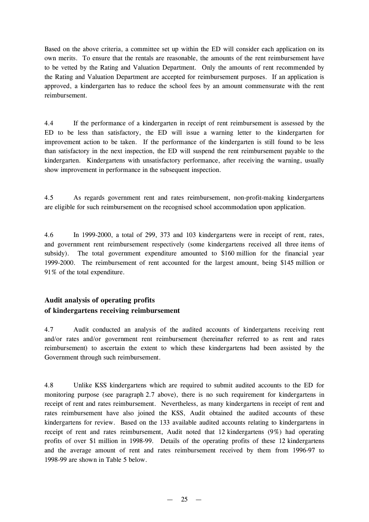Based on the above criteria, a committee set up within the ED will consider each application on its own merits. To ensure that the rentals are reasonable, the amounts of the rent reimbursement have to be vetted by the Rating and Valuation Department. Only the amounts of rent recommended by the Rating and Valuation Department are accepted for reimbursement purposes. If an application is approved, a kindergarten has to reduce the school fees by an amount commensurate with the rent reimbursement.

4.4 If the performance of a kindergarten in receipt of rent reimbursement is assessed by the ED to be less than satisfactory, the ED will issue a warning letter to the kindergarten for improvement action to be taken. If the performance of the kindergarten is still found to be less than satisfactory in the next inspection, the ED will suspend the rent reimbursement payable to the kindergarten. Kindergartens with unsatisfactory performance, after receiving the warning, usually show improvement in performance in the subsequent inspection.

4.5 As regards government rent and rates reimbursement, non-profit-making kindergartens are eligible for such reimbursement on the recognised school accommodation upon application.

4.6 In 1999-2000, a total of 299, 373 and 103 kindergartens were in receipt of rent, rates, and government rent reimbursement respectively (some kindergartens received all three items of subsidy). The total government expenditure amounted to \$160 million for the financial year 1999-2000. The reimbursement of rent accounted for the largest amount, being \$145 million or 91% of the total expenditure.

# **Audit analysis of operating profits of kindergartens receiving reimbursement**

4.7 Audit conducted an analysis of the audited accounts of kindergartens receiving rent and/or rates and/or government rent reimbursement (hereinafter referred to as rent and rates reimbursement) to ascertain the extent to which these kindergartens had been assisted by the Government through such reimbursement.

4.8 Unlike KSS kindergartens which are required to submit audited accounts to the ED for monitoring purpose (see paragraph 2.7 above), there is no such requirement for kindergartens in receipt of rent and rates reimbursement. Nevertheless, as many kindergartens in receipt of rent and rates reimbursement have also joined the KSS, Audit obtained the audited accounts of these kindergartens for review. Based on the 133 available audited accounts relating to kindergartens in receipt of rent and rates reimbursement, Audit noted that 12 kindergartens (9%) had operating profits of over \$1 million in 1998-99. Details of the operating profits of these 12 kindergartens and the average amount of rent and rates reimbursement received by them from 1996-97 to 1998-99 are shown in Table 5 below.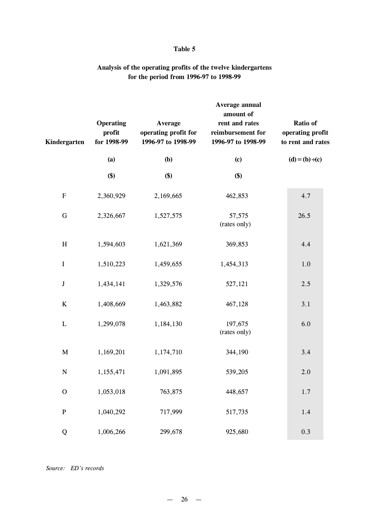## **Table 5**

# **Analysis of the operating profits of the twelve kindergartens for the period from 1996-97 to 1998-99**

| Kindergarten              | <b>Operating</b><br>profit<br>for 1998-99 | Average<br>operating profit for<br>1996-97 to 1998-99 | Average annual<br>amount of<br>rent and rates<br>reimbursement for<br>1996-97 to 1998-99 | Ratio of<br>operating profit<br>to rent and rates |
|---------------------------|-------------------------------------------|-------------------------------------------------------|------------------------------------------------------------------------------------------|---------------------------------------------------|
|                           | (a)                                       | <b>(b)</b>                                            | (c)                                                                                      | $(d) = (b) (c)$                                   |
|                           | \$)                                       | \$)                                                   | \$)                                                                                      |                                                   |
| ${\bf F}$                 | 2,360,929                                 | 2,169,665                                             | 462,853                                                                                  | 4.7                                               |
| G                         | 2,326,667                                 | 1,527,575                                             | 57,575<br>(rates only)                                                                   | 26.5                                              |
| $\boldsymbol{\mathrm{H}}$ | 1,594,603                                 | 1,621,369                                             | 369,853                                                                                  | 4.4                                               |
| $\mathbf I$               | 1,510,223                                 | 1,459,655                                             | 1,454,313                                                                                | 1.0                                               |
| $\bf J$                   | 1,434,141                                 | 1,329,576                                             | 527,121                                                                                  | 2.5                                               |
| $\bf K$                   | 1,408,669                                 | 1,463,882                                             | 467,128                                                                                  | 3.1                                               |
| $\mathbf L$               | 1,299,078                                 | 1,184,130                                             | 197,675<br>(rates only)                                                                  | 6.0                                               |
| $\mathbf M$               | 1,169,201                                 | 1,174,710                                             | 344,190                                                                                  | 3.4                                               |
| $\mathbf N$               | 1,155,471                                 | 1,091,895                                             | 539,205                                                                                  | 2.0                                               |
| $\mathbf{O}$              | 1,053,018                                 | 763,875                                               | 448,657                                                                                  | 1.7                                               |
| ${\bf P}$                 | 1,040,292                                 | 717,999                                               | 517,735                                                                                  | 1.4                                               |
| Q                         | 1,006,266                                 | 299,678                                               | 925,680                                                                                  | 0.3                                               |

*Source: ED's records*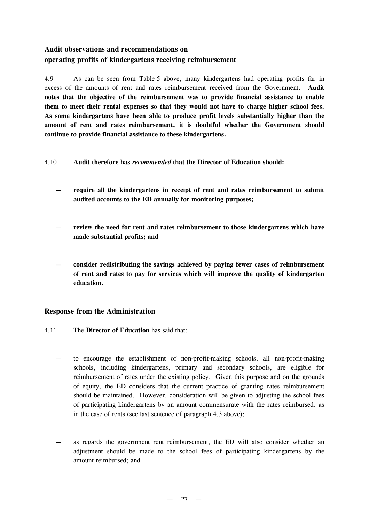# **Audit observations and recommendations on operating profits of kindergartens receiving reimbursement**

4.9 As can be seen from Table 5 above, many kindergartens had operating profits far in excess of the amounts of rent and rates reimbursement received from the Government. **Audit notes that the objective of the reimbursement was to provide financial assistance to enable them to meet their rental expenses so that they would not have to charge higher school fees. As some kindergartens have been able to produce profit levels substantially higher than the amount of rent and rates reimbursement, it is doubtful whether the Government should continue to provide financial assistance to these kindergartens.**

- 4.10 **Audit therefore has** *recommended* **that the Director of Education should:**
	- **require all the kindergartens in receipt of rent and rates reimbursement to submit audited accounts to the ED annually for monitoring purposes;**
	- **review the need for rent and rates reimbursement to those kindergartens which have made substantial profits; and**
	- **consider redistributing the savings achieved by paying fewer cases of reimbursement of rent and rates to pay for services which will improve the quality of kindergarten education.**

# **Response from the Administration**

- 4.11 The **Director of Education** has said that:
	- to encourage the establishment of non-profit-making schools, all non-profit-making schools, including kindergartens, primary and secondary schools, are eligible for reimbursement of rates under the existing policy. Given this purpose and on the grounds of equity, the ED considers that the current practice of granting rates reimbursement should be maintained. However, consideration will be given to adjusting the school fees of participating kindergartens by an amount commensurate with the rates reimbursed, as in the case of rents (see last sentence of paragraph 4.3 above);
	- as regards the government rent reimbursement, the ED will also consider whether an adjustment should be made to the school fees of participating kindergartens by the amount reimbursed; and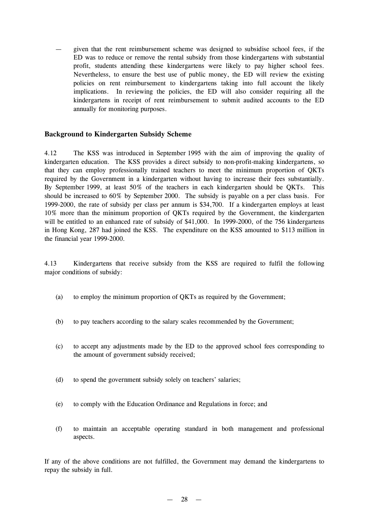— given that the rent reimbursement scheme was designed to subsidise school fees, if the ED was to reduce or remove the rental subsidy from those kindergartens with substantial profit, students attending these kindergartens were likely to pay higher school fees. Nevertheless, to ensure the best use of public money, the ED will review the existing policies on rent reimbursement to kindergartens taking into full account the likely implications. In reviewing the policies, the ED will also consider requiring all the kindergartens in receipt of rent reimbursement to submit audited accounts to the ED annually for monitoring purposes.

## **Background to Kindergarten Subsidy Scheme**

4.12 The KSS was introduced in September 1995 with the aim of improving the quality of kindergarten education. The KSS provides a direct subsidy to non-profit-making kindergartens, so that they can employ professionally trained teachers to meet the minimum proportion of QKTs required by the Government in a kindergarten without having to increase their fees substantially. By September 1999, at least 50% of the teachers in each kindergarten should be QKTs. This should be increased to 60% by September 2000. The subsidy is payable on a per class basis. For 1999-2000, the rate of subsidy per class per annum is \$34,700. If a kindergarten employs at least 10% more than the minimum proportion of QKTs required by the Government, the kindergarten will be entitled to an enhanced rate of subsidy of \$41,000. In 1999-2000, of the 756 kindergartens in Hong Kong, 287 had joined the KSS. The expenditure on the KSS amounted to \$113 million in the financial year 1999-2000.

4.13 Kindergartens that receive subsidy from the KSS are required to fulfil the following major conditions of subsidy:

- (a) to employ the minimum proportion of QKTs as required by the Government;
- (b) to pay teachers according to the salary scales recommended by the Government;
- (c) to accept any adjustments made by the ED to the approved school fees corresponding to the amount of government subsidy received;
- (d) to spend the government subsidy solely on teachers' salaries;
- (e) to comply with the Education Ordinance and Regulations in force; and
- (f) to maintain an acceptable operating standard in both management and professional aspects.

If any of the above conditions are not fulfilled, the Government may demand the kindergartens to repay the subsidy in full.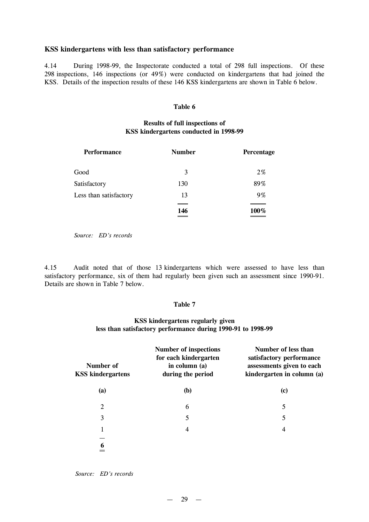#### **KSS kindergartens with less than satisfactory performance**

4.14 During 1998-99, the Inspectorate conducted a total of 298 full inspections. Of these 298 inspections, 146 inspections (or 49%) were conducted on kindergartens that had joined the KSS. Details of the inspection results of these 146 KSS kindergartens are shown in Table 6 below.

#### **Table 6**

# **Results of full inspections of KSS kindergartens conducted in 1998-99**

| <b>Performance</b>     | <b>Number</b> | Percentage |
|------------------------|---------------|------------|
| Good                   | 3             | $2\%$      |
| Satisfactory           | 130           | 89%        |
| Less than satisfactory | 13            | 9%         |
|                        | 146<br>______ | 100%       |

*Source: ED's records*

4.15 Audit noted that of those 13 kindergartens which were assessed to have less than satisfactory performance, six of them had regularly been given such an assessment since 1990-91. Details are shown in Table 7 below.

#### **Table 7**

# **KSS kindergartens regularly given less than satisfactory performance during 1990-91 to 1998-99**

| Number of<br><b>KSS kindergartens</b> | Number of inspections<br>for each kindergarten<br>in column (a)<br>during the period | Number of less than<br>satisfactory performance<br>assessments given to each<br>kindergarten in column (a) |
|---------------------------------------|--------------------------------------------------------------------------------------|------------------------------------------------------------------------------------------------------------|
| (a)                                   | <b>(b)</b>                                                                           | (c)                                                                                                        |
| 2                                     | 6                                                                                    | 5                                                                                                          |
| 3                                     | 5                                                                                    | 5                                                                                                          |
|                                       | 4                                                                                    | 4                                                                                                          |
|                                       |                                                                                      |                                                                                                            |

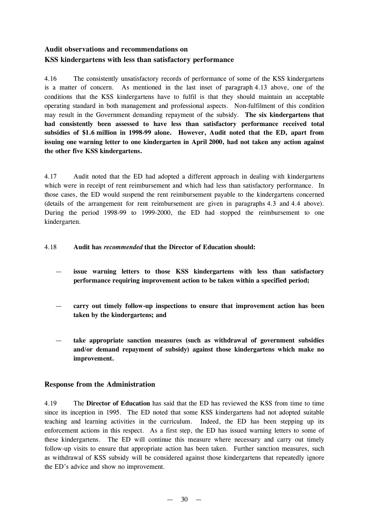# **Audit observations and recommendations on KSS kindergartens with less than satisfactory performance**

4.16 The consistently unsatisfactory records of performance of some of the KSS kindergartens is a matter of concern. As mentioned in the last inset of paragraph 4.13 above, one of the conditions that the KSS kindergartens have to fulfil is that they should maintain an acceptable operating standard in both management and professional aspects. Non-fulfilment of this condition may result in the Government demanding repayment of the subsidy. **The six kindergartens that had consistently been assessed to have less than satisfactory performance received total subsidies of \$1.6 million in 1998-99 alone. However, Audit noted that the ED, apart from issuing one warning letter to one kindergarten in April 2000, had not taken any action against the other five KSS kindergartens.**

4.17 Audit noted that the ED had adopted a different approach in dealing with kindergartens which were in receipt of rent reimbursement and which had less than satisfactory performance. In those cases, the ED would suspend the rent reimbursement payable to the kindergartens concerned (details of the arrangement for rent reimbursement are given in paragraphs 4.3 and 4.4 above). During the period 1998-99 to 1999-2000, the ED had stopped the reimbursement to one kindergarten.

## 4.18 **Audit has** *recommended* **that the Director of Education should:**

- **issue warning letters to those KSS kindergartens with less than satisfactory performance requiring improvement action to be taken within a specified period;**
- **carry out timely follow-up inspections to ensure that improvement action has been taken by the kindergartens; and**
- **take appropriate sanction measures (such as withdrawal of government subsidies and/or demand repayment of subsidy) against those kindergartens which make no improvement.**

# **Response from the Administration**

4.19 The **Director of Education** has said that the ED has reviewed the KSS from time to time since its inception in 1995. The ED noted that some KSS kindergartens had not adopted suitable teaching and learning activities in the curriculum. Indeed, the ED has been stepping up its enforcement actions in this respect. As a first step, the ED has issued warning letters to some of these kindergartens. The ED will continue this measure where necessary and carry out timely follow-up visits to ensure that appropriate action has been taken. Further sanction measures, such as withdrawal of KSS subsidy will be considered against those kindergartens that repeatedly ignore the ED's advice and show no improvement.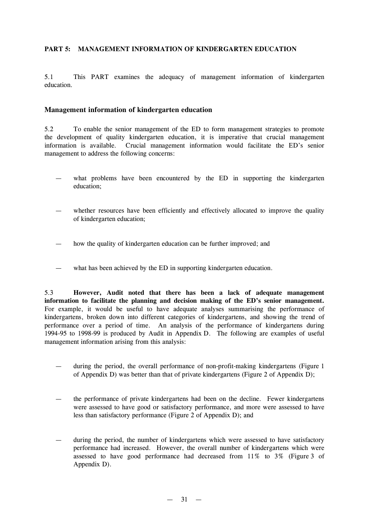## **PART 5: MANAGEMENT INFORMATION OF KINDERGARTEN EDUCATION**

5.1 This PART examines the adequacy of management information of kindergarten education.

#### **Management information of kindergarten education**

5.2 To enable the senior management of the ED to form management strategies to promote the development of quality kindergarten education, it is imperative that crucial management information is available. Crucial management information would facilitate the ED's senior management to address the following concerns:

- what problems have been encountered by the ED in supporting the kindergarten education;
- whether resources have been efficiently and effectively allocated to improve the quality of kindergarten education;
- how the quality of kindergarten education can be further improved; and
- what has been achieved by the ED in supporting kindergarten education.

5.3 **However, Audit noted that there has been a lack of adequate management information to facilitate the planning and decision making of the ED's senior management.** For example, it would be useful to have adequate analyses summarising the performance of kindergartens, broken down into different categories of kindergartens, and showing the trend of performance over a period of time. An analysis of the performance of kindergartens during 1994-95 to 1998-99 is produced by Audit in Appendix D. The following are examples of useful management information arising from this analysis:

- during the period, the overall performance of non-profit-making kindergartens (Figure 1 of Appendix D) was better than that of private kindergartens (Figure 2 of Appendix D);
- the performance of private kindergartens had been on the decline. Fewer kindergartens were assessed to have good or satisfactory performance, and more were assessed to have less than satisfactory performance (Figure 2 of Appendix D); and
- during the period, the number of kindergartens which were assessed to have satisfactory performance had increased. However, the overall number of kindergartens which were assessed to have good performance had decreased from 11% to 3% (Figure 3 of Appendix D).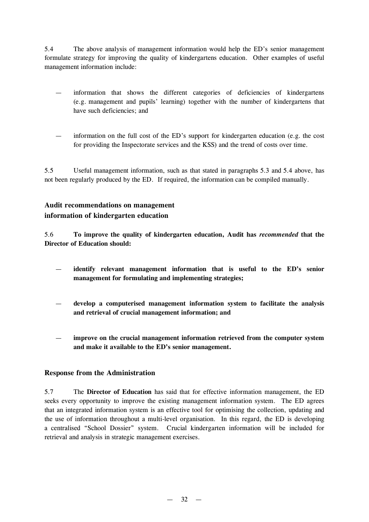5.4 The above analysis of management information would help the ED's senior management formulate strategy for improving the quality of kindergartens education. Other examples of useful management information include:

- information that shows the different categories of deficiencies of kindergartens (e.g. management and pupils' learning) together with the number of kindergartens that have such deficiencies; and
- information on the full cost of the ED's support for kindergarten education (e.g. the cost for providing the Inspectorate services and the KSS) and the trend of costs over time.

5.5 Useful management information, such as that stated in paragraphs 5.3 and 5.4 above, has not been regularly produced by the ED. If required, the information can be compiled manually.

# **Audit recommendations on management information of kindergarten education**

5.6 **To improve the quality of kindergarten education, Audit has** *recommended* **that the Director of Education should:**

- **identify relevant management information that is useful to the ED's senior management for formulating and implementing strategies;**
- **develop a computerised management information system to facilitate the analysis and retrieval of crucial management information; and**
- **improve on the crucial management information retrieved from the computer system and make it available to the ED's senior management.**

# **Response from the Administration**

5.7 The **Director of Education** has said that for effective information management, the ED seeks every opportunity to improve the existing management information system. The ED agrees that an integrated information system is an effective tool for optimising the collection, updating and the use of information throughout a multi-level organisation. In this regard, the ED is developing a centralised "School Dossier" system. Crucial kindergarten information will be included for retrieval and analysis in strategic management exercises.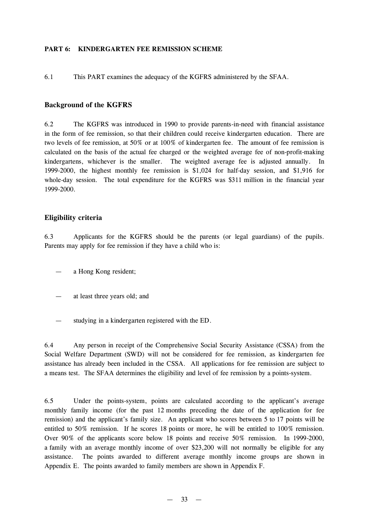#### **PART 6: KINDERGARTEN FEE REMISSION SCHEME**

6.1 This PART examines the adequacy of the KGFRS administered by the SFAA.

## **Background of the KGFRS**

6.2 The KGFRS was introduced in 1990 to provide parents-in-need with financial assistance in the form of fee remission, so that their children could receive kindergarten education. There are two levels of fee remission, at 50% or at 100% of kindergarten fee. The amount of fee remission is calculated on the basis of the actual fee charged or the weighted average fee of non-profit-making kindergartens, whichever is the smaller. The weighted average fee is adjusted annually. In 1999-2000, the highest monthly fee remission is \$1,024 for half-day session, and \$1,916 for whole-day session. The total expenditure for the KGFRS was \$311 million in the financial year 1999-2000.

## **Eligibility criteria**

6.3 Applicants for the KGFRS should be the parents (or legal guardians) of the pupils. Parents may apply for fee remission if they have a child who is:

- a Hong Kong resident;
- at least three years old; and
- studying in a kindergarten registered with the ED.

6.4 Any person in receipt of the Comprehensive Social Security Assistance (CSSA) from the Social Welfare Department (SWD) will not be considered for fee remission, as kindergarten fee assistance has already been included in the CSSA. All applications for fee remission are subject to a means test. The SFAA determines the eligibility and level of fee remission by a points-system.

6.5 Under the points-system, points are calculated according to the applicant's average monthly family income (for the past 12 months preceding the date of the application for fee remission) and the applicant's family size. An applicant who scores between 5 to 17 points will be entitled to 50% remission. If he scores 18 points or more, he will be entitled to 100% remission. Over 90% of the applicants score below 18 points and receive 50% remission. In 1999-2000, a family with an average monthly income of over \$23,200 will not normally be eligible for any assistance. The points awarded to different average monthly income groups are shown in Appendix E. The points awarded to family members are shown in Appendix F.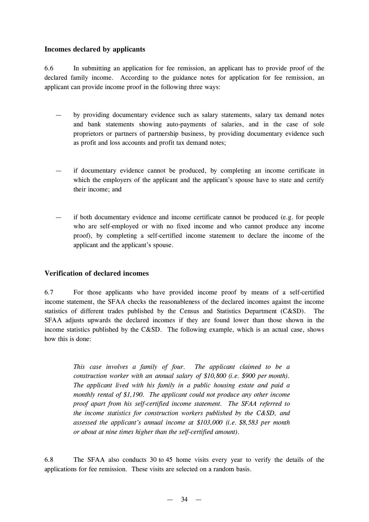# **Incomes declared by applicants**

6.6 In submitting an application for fee remission, an applicant has to provide proof of the declared family income. According to the guidance notes for application for fee remission, an applicant can provide income proof in the following three ways:

- by providing documentary evidence such as salary statements, salary tax demand notes and bank statements showing auto-payments of salaries, and in the case of sole proprietors or partners of partnership business, by providing documentary evidence such as profit and loss accounts and profit tax demand notes;
- if documentary evidence cannot be produced, by completing an income certificate in which the employers of the applicant and the applicant's spouse have to state and certify their income; and
- if both documentary evidence and income certificate cannot be produced (e.g. for people who are self-employed or with no fixed income and who cannot produce any income proof), by completing a self-certified income statement to declare the income of the applicant and the applicant's spouse.

# **Verification of declared incomes**

6.7 For those applicants who have provided income proof by means of a self-certified income statement, the SFAA checks the reasonableness of the declared incomes against the income statistics of different trades published by the Census and Statistics Department (C&SD). The SFAA adjusts upwards the declared incomes if they are found lower than those shown in the income statistics published by the C&SD. The following example, which is an actual case, shows how this is done:

> *This case involves a family of four. The applicant claimed to be a construction worker with an annual salary of \$10,800 (i.e. \$900 per month). The applicant lived with his family in a public housing estate and paid a monthly rental of \$1,190. The applicant could not produce any other income proof apart from his self-certified income statement. The SFAA referred to the income statistics for construction workers published by the C&SD, and assessed the applicant's annual income at \$103,000 (i.e. \$8,583 per month or about at nine times higher than the self-certified amount).*

6.8 The SFAA also conducts 30 to 45 home visits every year to verify the details of the applications for fee remission. These visits are selected on a random basis.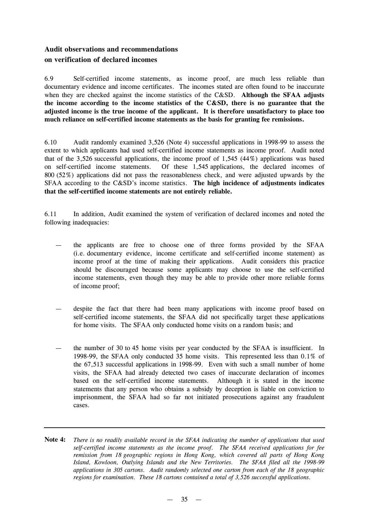# **Audit observations and recommendations on verification of declared incomes**

6.9 Self-certified income statements, as income proof, are much less reliable than documentary evidence and income certificates. The incomes stated are often found to be inaccurate when they are checked against the income statistics of the C&SD. **Although the SFAA adjusts the income according to the income statistics of the C&SD, there is no guarantee that the adjusted income is the true income of the applicant. It is therefore unsatisfactory to place too much reliance on self-certified income statements as the basis for granting fee remissions.**

6.10 Audit randomly examined 3,526 (Note 4) successful applications in 1998-99 to assess the extent to which applicants had used self-certified income statements as income proof. Audit noted that of the 3,526 successful applications, the income proof of 1,545 (44%) applications was based on self-certified income statements. Of these 1,545 applications, the declared incomes of 800 (52%) applications did not pass the reasonableness check, and were adjusted upwards by the SFAA according to the C&SD's income statistics. **The high incidence of adjustments indicates that the self-certified income statements are not entirely reliable.**

6.11 In addition, Audit examined the system of verification of declared incomes and noted the following inadequacies:

- the applicants are free to choose one of three forms provided by the SFAA (i.e. documentary evidence, income certificate and self-certified income statement) as income proof at the time of making their applications. Audit considers this practice should be discouraged because some applicants may choose to use the self-certified income statements, even though they may be able to provide other more reliable forms of income proof;
- despite the fact that there had been many applications with income proof based on self-certified income statements, the SFAA did not specifically target these applications for home visits. The SFAA only conducted home visits on a random basis; and
- the number of 30 to 45 home visits per year conducted by the SFAA is insufficient. In 1998-99, the SFAA only conducted 35 home visits. This represented less than 0.1% of the 67,513 successful applications in 1998-99. Even with such a small number of home visits, the SFAA had already detected two cases of inaccurate declaration of incomes based on the self-certified income statements. Although it is stated in the income statements that any person who obtains a subsidy by deception is liable on conviction to imprisonment, the SFAA had so far not initiated prosecutions against any fraudulent cases.
- Note 4: There is no readily available record in the SFAA indicating the number of applications that used *self-certified income statements as the income proof. The SFAA received applications for fee remission from 18 geographic regions in Hong Kong, which covered all parts of Hong Kong Island, Kowloon, Outlying Islands and the New Territories. The SFAA filed all the 1998-99 applications in 305 cartons. Audit randomly selected one carton from each of the 18 geographic regions for examination. These 18 cartons contained a total of 3,526 successful applications.*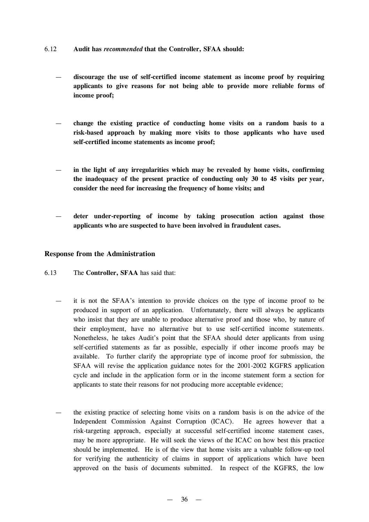- 6.12 **Audit has** *recommended* **that the Controller, SFAA should:**
	- **discourage the use of self-certified income statement as income proof by requiring applicants to give reasons for not being able to provide more reliable forms of income proof;**
	- **change the existing practice of conducting home visits on a random basis to a risk-based approach by making more visits to those applicants who have used self-certified income statements as income proof;**
	- **in the light of any irregularities which may be revealed by home visits, confirming the inadequacy of the present practice of conducting only 30 to 45 visits per year, consider the need for increasing the frequency of home visits; and**
	- **deter under-reporting of income by taking prosecution action against those applicants who are suspected to have been involved in fraudulent cases.**

#### **Response from the Administration**

- 6.13 The **Controller, SFAA** has said that:
	- it is not the SFAA's intention to provide choices on the type of income proof to be produced in support of an application. Unfortunately, there will always be applicants who insist that they are unable to produce alternative proof and those who, by nature of their employment, have no alternative but to use self-certified income statements. Nonetheless, he takes Audit's point that the SFAA should deter applicants from using self-certified statements as far as possible, especially if other income proofs may be available. To further clarify the appropriate type of income proof for submission, the SFAA will revise the application guidance notes for the 2001-2002 KGFRS application cycle and include in the application form or in the income statement form a section for applicants to state their reasons for not producing more acceptable evidence;
	- the existing practice of selecting home visits on a random basis is on the advice of the Independent Commission Against Corruption (ICAC). He agrees however that a risk-targeting approach, especially at successful self-certified income statement cases, may be more appropriate. He will seek the views of the ICAC on how best this practice should be implemented. He is of the view that home visits are a valuable follow-up tool for verifying the authenticity of claims in support of applications which have been approved on the basis of documents submitted. In respect of the KGFRS, the low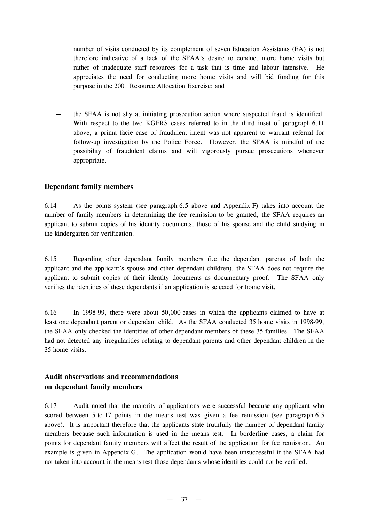number of visits conducted by its complement of seven Education Assistants (EA) is not therefore indicative of a lack of the SFAA's desire to conduct more home visits but rather of inadequate staff resources for a task that is time and labour intensive. He appreciates the need for conducting more home visits and will bid funding for this purpose in the 2001 Resource Allocation Exercise; and

— the SFAA is not shy at initiating prosecution action where suspected fraud is identified. With respect to the two KGFRS cases referred to in the third inset of paragraph 6.11 above, a prima facie case of fraudulent intent was not apparent to warrant referral for follow-up investigation by the Police Force. However, the SFAA is mindful of the possibility of fraudulent claims and will vigorously pursue prosecutions whenever appropriate.

#### **Dependant family members**

6.14 As the points-system (see paragraph 6.5 above and Appendix F) takes into account the number of family members in determining the fee remission to be granted, the SFAA requires an applicant to submit copies of his identity documents, those of his spouse and the child studying in the kindergarten for verification.

6.15 Regarding other dependant family members (i.e. the dependant parents of both the applicant and the applicant's spouse and other dependant children), the SFAA does not require the applicant to submit copies of their identity documents as documentary proof. The SFAA only verifies the identities of these dependants if an application is selected for home visit.

6.16 In 1998-99, there were about 50,000 cases in which the applicants claimed to have at least one dependant parent or dependant child. As the SFAA conducted 35 home visits in 1998-99, the SFAA only checked the identities of other dependant members of these 35 families. The SFAA had not detected any irregularities relating to dependant parents and other dependant children in the 35 home visits.

# **Audit observations and recommendations on dependant family members**

6.17 Audit noted that the majority of applications were successful because any applicant who scored between 5 to 17 points in the means test was given a fee remission (see paragraph 6.5 above). It is important therefore that the applicants state truthfully the number of dependant family members because such information is used in the means test. In borderline cases, a claim for points for dependant family members will affect the result of the application for fee remission. An example is given in Appendix G. The application would have been unsuccessful if the SFAA had not taken into account in the means test those dependants whose identities could not be verified.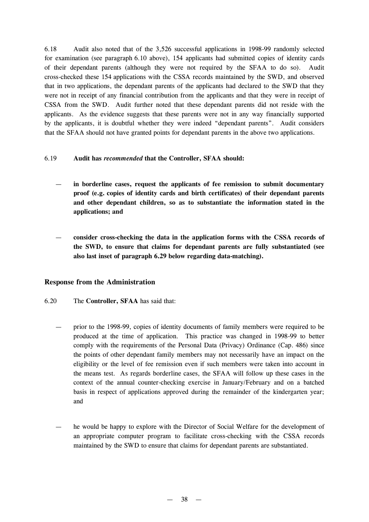6.18 Audit also noted that of the 3,526 successful applications in 1998-99 randomly selected for examination (see paragraph 6.10 above), 154 applicants had submitted copies of identity cards of their dependant parents (although they were not required by the SFAA to do so). Audit cross-checked these 154 applications with the CSSA records maintained by the SWD, and observed that in two applications, the dependant parents of the applicants had declared to the SWD that they were not in receipt of any financial contribution from the applicants and that they were in receipt of CSSA from the SWD. Audit further noted that these dependant parents did not reside with the applicants. As the evidence suggests that these parents were not in any way financially supported by the applicants, it is doubtful whether they were indeed "dependant parents". Audit considers that the SFAA should not have granted points for dependant parents in the above two applications.

#### 6.19 **Audit has** *recommended* **that the Controller, SFAA should:**

- **in borderline cases, request the applicants of fee remission to submit documentary proof (e.g. copies of identity cards and birth certificates) of their dependant parents and other dependant children, so as to substantiate the information stated in the applications; and**
- **consider cross-checking the data in the application forms with the CSSA records of the SWD, to ensure that claims for dependant parents are fully substantiated (see also last inset of paragraph 6.29 below regarding data-matching).**

#### **Response from the Administration**

- 6.20 The **Controller, SFAA** has said that:
	- prior to the 1998-99, copies of identity documents of family members were required to be produced at the time of application. This practice was changed in 1998-99 to better comply with the requirements of the Personal Data (Privacy) Ordinance (Cap. 486) since the points of other dependant family members may not necessarily have an impact on the eligibility or the level of fee remission even if such members were taken into account in the means test. As regards borderline cases, the SFAA will follow up these cases in the context of the annual counter-checking exercise in January/February and on a batched basis in respect of applications approved during the remainder of the kindergarten year; and
	- he would be happy to explore with the Director of Social Welfare for the development of an appropriate computer program to facilitate cross-checking with the CSSA records maintained by the SWD to ensure that claims for dependant parents are substantiated.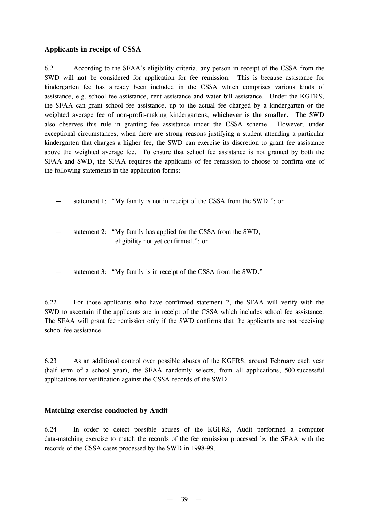# **Applicants in receipt of CSSA**

6.21 According to the SFAA's eligibility criteria, any person in receipt of the CSSA from the SWD will **not** be considered for application for fee remission. This is because assistance for kindergarten fee has already been included in the CSSA which comprises various kinds of assistance, e.g. school fee assistance, rent assistance and water bill assistance. Under the KGFRS, the SFAA can grant school fee assistance, up to the actual fee charged by a kindergarten or the weighted average fee of non-profit-making kindergartens, **whichever is the smaller.** The SWD also observes this rule in granting fee assistance under the CSSA scheme. However, under exceptional circumstances, when there are strong reasons justifying a student attending a particular kindergarten that charges a higher fee, the SWD can exercise its discretion to grant fee assistance above the weighted average fee. To ensure that school fee assistance is not granted by both the SFAA and SWD, the SFAA requires the applicants of fee remission to choose to confirm one of the following statements in the application forms:

statement 1: "My family is not in receipt of the CSSA from the SWD."; or

- statement 2: "My family has applied for the CSSA from the SWD, eligibility not yet confirmed."; or
- statement 3: "My family is in receipt of the CSSA from the SWD."

6.22 For those applicants who have confirmed statement 2, the SFAA will verify with the SWD to ascertain if the applicants are in receipt of the CSSA which includes school fee assistance. The SFAA will grant fee remission only if the SWD confirms that the applicants are not receiving school fee assistance.

6.23 As an additional control over possible abuses of the KGFRS, around February each year (half term of a school year), the SFAA randomly selects, from all applications, 500 successful applications for verification against the CSSA records of the SWD.

# **Matching exercise conducted by Audit**

6.24 In order to detect possible abuses of the KGFRS, Audit performed a computer data-matching exercise to match the records of the fee remission processed by the SFAA with the records of the CSSA cases processed by the SWD in 1998-99.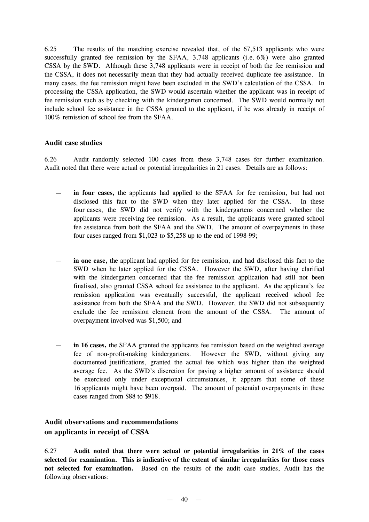6.25 The results of the matching exercise revealed that, of the 67,513 applicants who were successfully granted fee remission by the SFAA, 3,748 applicants (i.e. 6%) were also granted CSSA by the SWD. Although these 3,748 applicants were in receipt of both the fee remission and the CSSA, it does not necessarily mean that they had actually received duplicate fee assistance. In many cases, the fee remission might have been excluded in the SWD's calculation of the CSSA. In processing the CSSA application, the SWD would ascertain whether the applicant was in receipt of fee remission such as by checking with the kindergarten concerned. The SWD would normally not include school fee assistance in the CSSA granted to the applicant, if he was already in receipt of 100% remission of school fee from the SFAA.

# **Audit case studies**

6.26 Audit randomly selected 100 cases from these 3,748 cases for further examination. Audit noted that there were actual or potential irregularities in 21 cases. Details are as follows:

- **in four cases,** the applicants had applied to the SFAA for fee remission, but had not disclosed this fact to the SWD when they later applied for the CSSA. In these four cases, the SWD did not verify with the kindergartens concerned whether the applicants were receiving fee remission. As a result, the applicants were granted school fee assistance from both the SFAA and the SWD. The amount of overpayments in these four cases ranged from \$1,023 to \$5,258 up to the end of 1998-99;
- **in one case,** the applicant had applied for fee remission, and had disclosed this fact to the SWD when he later applied for the CSSA. However the SWD, after having clarified with the kindergarten concerned that the fee remission application had still not been finalised, also granted CSSA school fee assistance to the applicant. As the applicant's fee remission application was eventually successful, the applicant received school fee assistance from both the SFAA and the SWD. However, the SWD did not subsequently exclude the fee remission element from the amount of the CSSA. The amount of overpayment involved was \$1,500; and
- **in 16 cases,** the SFAA granted the applicants fee remission based on the weighted average fee of non-profit-making kindergartens. However the SWD, without giving any documented justifications, granted the actual fee which was higher than the weighted average fee. As the SWD's discretion for paying a higher amount of assistance should be exercised only under exceptional circumstances, it appears that some of these 16 applicants might have been overpaid. The amount of potential overpayments in these cases ranged from \$88 to \$918.

# **Audit observations and recommendations on applicants in receipt of CSSA**

6.27 **Audit noted that there were actual or potential irregularities in 21% of the cases selected for examination. This is indicative of the extent of similar irregularities for those cases not selected for examination.** Based on the results of the audit case studies, Audit has the following observations: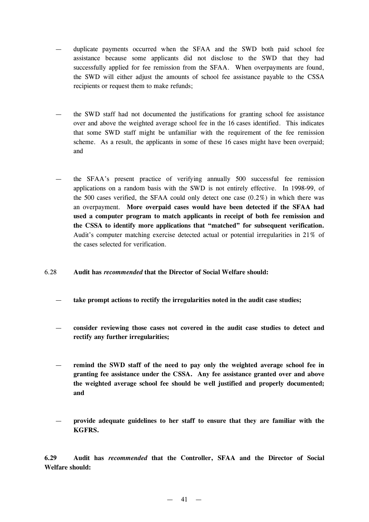- duplicate payments occurred when the SFAA and the SWD both paid school fee assistance because some applicants did not disclose to the SWD that they had successfully applied for fee remission from the SFAA. When overpayments are found, the SWD will either adjust the amounts of school fee assistance payable to the CSSA recipients or request them to make refunds;
- the SWD staff had not documented the justifications for granting school fee assistance over and above the weighted average school fee in the 16 cases identified. This indicates that some SWD staff might be unfamiliar with the requirement of the fee remission scheme. As a result, the applicants in some of these 16 cases might have been overpaid; and
- the SFAA's present practice of verifying annually 500 successful fee remission applications on a random basis with the SWD is not entirely effective. In 1998-99, of the 500 cases verified, the SFAA could only detect one case (0.2%) in which there was an overpayment. **More overpaid cases would have been detected if the SFAA had used a computer program to match applicants in receipt of both fee remission and the CSSA to identify more applications that "matched" for subsequent verification.** Audit's computer matching exercise detected actual or potential irregularities in 21% of the cases selected for verification.
- 6.28 **Audit has** *recommended* **that the Director of Social Welfare should:**
	- **take prompt actions to rectify the irregularities noted in the audit case studies;**
	- **consider reviewing those cases not covered in the audit case studies to detect and rectify any further irregularities;**
	- **remind the SWD staff of the need to pay only the weighted average school fee in granting fee assistance under the CSSA. Any fee assistance granted over and above the weighted average school fee should be well justified and properly documented; and**
	- **provide adequate guidelines to her staff to ensure that they are familiar with the KGFRS.**

**6.29 Audit has** *recommended* **that the Controller, SFAA and the Director of Social Welfare should:**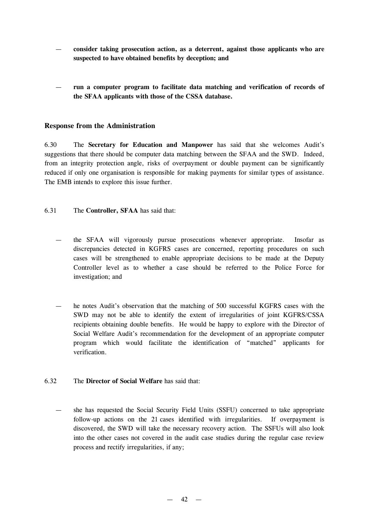- **consider taking prosecution action, as a deterrent, against those applicants who are suspected to have obtained benefits by deception; and**
- **run a computer program to facilitate data matching and verification of records of the SFAA applicants with those of the CSSA database.**

## **Response from the Administration**

6.30 The **Secretary for Education and Manpower** has said that she welcomes Audit's suggestions that there should be computer data matching between the SFAA and the SWD. Indeed, from an integrity protection angle, risks of overpayment or double payment can be significantly reduced if only one organisation is responsible for making payments for similar types of assistance. The EMB intends to explore this issue further.

- 6.31 The **Controller, SFAA** has said that:
	- the SFAA will vigorously pursue prosecutions whenever appropriate. Insofar as discrepancies detected in KGFRS cases are concerned, reporting procedures on such cases will be strengthened to enable appropriate decisions to be made at the Deputy Controller level as to whether a case should be referred to the Police Force for investigation; and
	- he notes Audit's observation that the matching of 500 successful KGFRS cases with the SWD may not be able to identify the extent of irregularities of joint KGFRS/CSSA recipients obtaining double benefits. He would be happy to explore with the Director of Social Welfare Audit's recommendation for the development of an appropriate computer program which would facilitate the identification of "matched" applicants for verification.
- 6.32 The **Director of Social Welfare** has said that:
	- she has requested the Social Security Field Units (SSFU) concerned to take appropriate follow-up actions on the 21 cases identified with irregularities. If overpayment is discovered, the SWD will take the necessary recovery action. The SSFUs will also look into the other cases not covered in the audit case studies during the regular case review process and rectify irregularities, if any;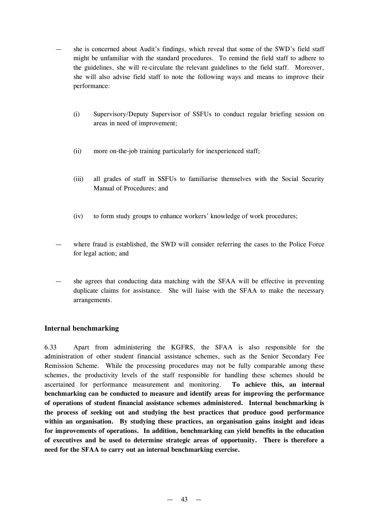- she is concerned about Audit's findings, which reveal that some of the SWD's field staff might be unfamiliar with the standard procedures. To remind the field staff to adhere to the guidelines, she will re-circulate the relevant guidelines to the field staff. Moreover, she will also advise field staff to note the following ways and means to improve their performance:
	- (i) Supervisory/Deputy Supervisor of SSFUs to conduct regular briefing session on areas in need of improvement;
	- (ii) more on-the-job training particularly for inexperienced staff;
	- (iii) all grades of staff in SSFUs to familiarise themselves with the Social Security Manual of Procedures; and
	- (iv) to form study groups to enhance workers'knowledge of work procedures;
- where fraud is established, the SWD will consider referring the cases to the Police Force for legal action; and
- she agrees that conducting data matching with the SFAA will be effective in preventing duplicate claims for assistance. She will liaise with the SFAA to make the necessary arrangements.

# **Internal benchmarking**

6.33 Apart from administering the KGFRS, the SFAA is also responsible for the administration of other student financial assistance schemes, such as the Senior Secondary Fee Remission Scheme. While the processing procedures may not be fully comparable among these schemes, the productivity levels of the staff responsible for handling these schemes should be ascertained for performance measurement and monitoring. **To achieve this, an internal benchmarking can be conducted to measure and identify areas for improving the performance of operations of student financial assistance schemes administered. Internal benchmarking is the process of seeking out and studying the best practices that produce good performance within an organisation. By studying these practices, an organisation gains insight and ideas for improvements of operations. In addition, benchmarking can yield benefits in the education of executives and be used to determine strategic areas of opportunity. There is therefore a need for the SFAA to carry out an internal benchmarking exercise.**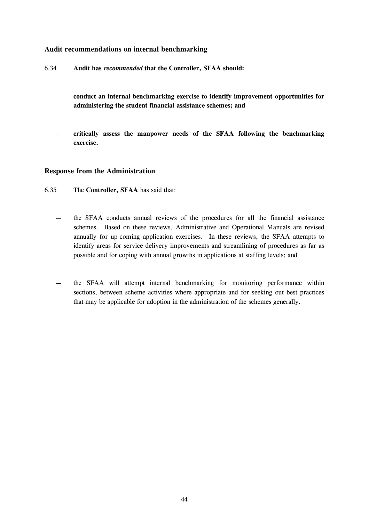## **Audit recommendations on internal benchmarking**

- 6.34 **Audit has** *recommended* **that the Controller, SFAA should:**
	- **conduct an internal benchmarking exercise to identify improvement opportunities for administering the student financial assistance schemes; and**
	- **critically assess the manpower needs of the SFAA following the benchmarking exercise.**

#### **Response from the Administration**

- 6.35 The **Controller, SFAA** has said that:
	- the SFAA conducts annual reviews of the procedures for all the financial assistance schemes. Based on these reviews, Administrative and Operational Manuals are revised annually for up-coming application exercises. In these reviews, the SFAA attempts to identify areas for service delivery improvements and streamlining of procedures as far as possible and for coping with annual growths in applications at staffing levels; and
	- the SFAA will attempt internal benchmarking for monitoring performance within sections, between scheme activities where appropriate and for seeking out best practices that may be applicable for adoption in the administration of the schemes generally.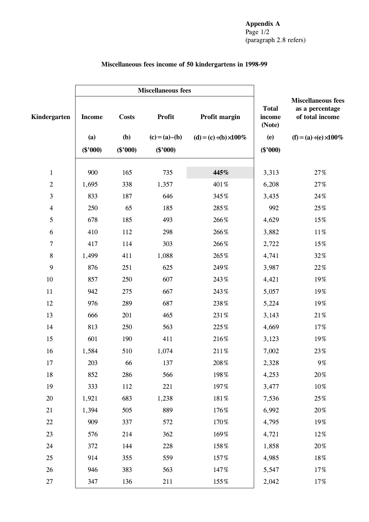# **Miscellaneous fees income of 50 kindergartens in 1998-99**

|                          |               | <b>Miscellaneous fees</b> |               |                              |                                  |                                                                 |
|--------------------------|---------------|---------------------------|---------------|------------------------------|----------------------------------|-----------------------------------------------------------------|
| Kindergarten             | <b>Income</b> | <b>Costs</b>              | <b>Profit</b> | Profit margin                | <b>Total</b><br>income<br>(Note) | <b>Miscellaneous fees</b><br>as a percentage<br>of total income |
|                          | (a)           | (b)                       | $(c)=(a)-(b)$ | (d) = (c) (b) $\degree$ 100% | (e)                              | $(f) = (a)$ , $(e)$ 100%                                        |
|                          | $(\$'000)$    | $(\$'000)$                | $(\$'000)$    |                              | $(\$'000)$                       |                                                                 |
| $\mathbf{1}$             | 900           | 165                       | 735           | 445%                         | 3,313                            | $27\%$                                                          |
| $\boldsymbol{2}$         | 1,695         | 338                       | 1,357         | 401%                         | 6,208                            | $27\%$                                                          |
| $\mathfrak{Z}$           | 833           | 187                       | 646           | 345%                         | 3,435                            | 24%                                                             |
| $\overline{\mathcal{A}}$ | 250           | 65                        | 185           | 285%                         | 992                              | 25%                                                             |
| $\mathfrak{S}$           | 678           | 185                       | 493           | 266%                         | 4,629                            | 15%                                                             |
| 6                        | 410           | 112                       | 298           | 266%                         | 3,882                            | $11\%$                                                          |
| $\overline{7}$           | 417           | 114                       | 303           | 266%                         | 2,722                            | 15%                                                             |
| $\,8\,$                  | 1,499         | 411                       | 1,088         | 265%                         | 4,741                            | 32%                                                             |
| 9                        | 876           | 251                       | 625           | 249%                         | 3,987                            | $22\,\%$                                                        |
| $10\,$                   | 857           | 250                       | 607           | 243%                         | 4,421                            | 19%                                                             |
| $11\,$                   | 942           | 275                       | 667           | 243%                         | 5,057                            | 19%                                                             |
| 12                       | 976           | 289                       | 687           | 238%                         | 5,224                            | 19%                                                             |
| 13                       | 666           | 201                       | 465           | 231%                         | 3,143                            | $21\%$                                                          |
| 14                       | 813           | 250                       | 563           | 225%                         | 4,669                            | 17%                                                             |
| 15                       | 601           | 190                       | 411           | 216%                         | 3,123                            | 19%                                                             |
| 16                       | 1,584         | 510                       | 1,074         | 211%                         | 7,002                            | 23%                                                             |
| 17                       | 203           | 66                        | 137           | $208\,\%$                    | 2,328                            | 9%                                                              |
| 18                       | 852           | 286                       | 566           | 198%                         | 4,253                            | $20\%$                                                          |
| 19                       | 333           | 112                       | 221           | 197%                         | 3,477                            | 10%                                                             |
| 20                       | 1,921         | 683                       | 1,238         | 181%                         | 7,536                            | 25%                                                             |
| 21                       | 1,394         | 505                       | 889           | 176%                         | 6,992                            | $20\%$                                                          |
| 22                       | 909           | 337                       | 572           | 170%                         | 4,795                            | 19%                                                             |
| 23                       | 576           | 214                       | 362           | 169%                         | 4,721                            | 12%                                                             |
| 24                       | 372           | 144                       | 228           | 158%                         | 1,858                            | 20%                                                             |
| 25                       | 914           | 355                       | 559           | 157%                         | 4,985                            | 18%                                                             |
| $26\,$                   | 946           | 383                       | 563           | 147%                         | 5,547                            | 17%                                                             |
| 27                       | 347           | 136                       | 211           | 155%                         | 2,042                            | 17%                                                             |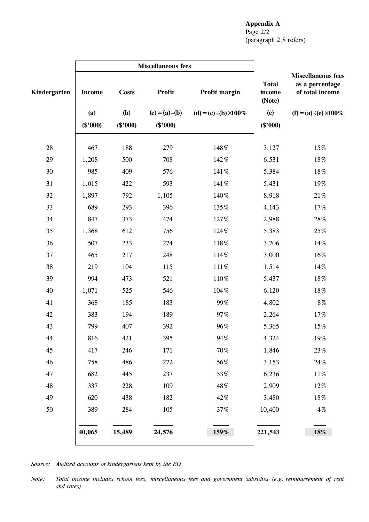# **Appendix A** Page 2/2 (paragraph 2.8 refers)

|              | <b>Miscellaneous fees</b> |              |                   |                              |                                  |                                                                 |
|--------------|---------------------------|--------------|-------------------|------------------------------|----------------------------------|-----------------------------------------------------------------|
| Kindergarten | <b>Income</b>             | <b>Costs</b> | Profit            | Profit margin                | <b>Total</b><br>income<br>(Note) | <b>Miscellaneous fees</b><br>as a percentage<br>of total income |
|              | (a)                       | <b>(b)</b>   | $(c) = (a) - (b)$ | (d) = (c) (b) $\degree$ 100% | (e)                              | $(f) = (a)$ , $(e)$ 100%                                        |
|              | $(\$'000)$                | $(\$'000)$   | $(\$'000)$        |                              | $(\$'000)$                       |                                                                 |
| $28\,$       | 467                       | 188          | 279               | 148%                         | 3,127                            | 15%                                                             |
| 29           | 1,208                     | 500          | 708               | 142%                         | 6,531                            | $18\%$                                                          |
| $30\,$       | 985                       | 409          | 576               | 141%                         | 5,384                            | 18%                                                             |
| 31           | 1,015                     | 422          | 593               | 141%                         | 5,431                            | 19%                                                             |
| 32           | 1,897                     | 792          | 1,105             | 140%                         | 8,918                            | $21\%$                                                          |
| 33           | 689                       | 293          | 396               | 135%                         | 4,143                            | $17\%$                                                          |
| 34           | 847                       | 373          | 474               | 127%                         | 2,988                            | $28\,\%$                                                        |
| 35           | 1,368                     | 612          | 756               | 124%                         | 5,383                            | 25%                                                             |
| 36           | 507                       | 233          | 274               | 118%                         | 3,706                            | 14%                                                             |
| 37           | 465                       | 217          | 248               | 114%                         | 3,000                            | 16%                                                             |
| 38           | 219                       | 104          | 115               | 111%                         | 1,514                            | 14%                                                             |
| 39           | 994                       | 473          | 521               | 110%                         | 5,437                            | $18\%$                                                          |
| 40           | 1,071                     | 525          | 546               | 104%                         | 6,120                            | 18%                                                             |
| 41           | 368                       | 185          | 183               | 99%                          | 4,802                            | $8\,\%$                                                         |
| 42           | 383                       | 194          | 189               | 97%                          | 2,264                            | 17%                                                             |
| 43           | 799                       | 407          | 392               | 96%                          | 5,365                            | 15%                                                             |
| 44           | 816                       | 421          | 395               | 94%                          | 4,324                            | 19%                                                             |
| 45           | 417                       | 246          | 171               | 70%                          | 1,846                            | 23%                                                             |
| 46           | 758                       | 486          | 272               | 56%                          | 3,153                            | 24%                                                             |
| 47           | 682                       | 445          | 237               | 53%                          | 6,236                            | $11\%$                                                          |
| 48           | 337                       | 228          | 109               | 48%                          | 2,909                            | 12%                                                             |
| 49           | 620                       | 438          | 182               | 42%                          | 3,480                            | $18\%$                                                          |
| 50           | 389                       | 284          | 105               | 37%                          | 10,400                           | $4\,\%$                                                         |
|              | 40,065                    | 15,489       | 24,576            | 159%                         | 221,543                          | 18%                                                             |

*Source: Audited accounts of kindergartens kept by the ED*

*Note: Total income includes school fees, miscellaneous fees and government subsidies (e.g. reimbursement of rent and rates).*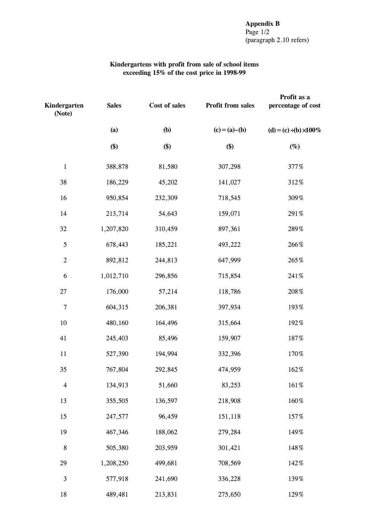#### **Kindergartens with profit from sale of school items exceeding 15% of the cost price in 1998-99**

| Kindergarten<br>(Note) | <b>Sales</b> | Cost of sales | Profit from sales | Profit as a<br>percentage of cost |  |
|------------------------|--------------|---------------|-------------------|-----------------------------------|--|
|                        | (a)          | (b)           | $(c) = (a) - (b)$ | (d) = (c) (b) $\degree$ 100%      |  |
|                        | \$)          | \$)           | \$)               | $(\%)$                            |  |
| $\mathbf{1}$           | 388,878      | 81,580        | 307,298           | 377%                              |  |
| 38                     | 186,229      | 45,202        | 141,027           | 312%                              |  |
| 16                     | 950,854      | 232,309       | 718,545           | 309%                              |  |
| 14                     | 213,714      | 54,643        | 159,071           | 291%                              |  |
| 32                     | 1,207,820    | 310,459       | 897,361           | 289%                              |  |
| $\sqrt{5}$             | 678,443      | 185,221       | 493,222           | 266%                              |  |
| $\sqrt{2}$             | 892,812      | 244,813       | 647,999           | 265%                              |  |
| 6                      | 1,012,710    | 296,856       | 715,854           | 241%                              |  |
| 27                     | 176,000      | 57,214        | 118,786           | $208\,\%$                         |  |
| $\overline{7}$         | 604,315      | 206,381       | 397,934           | 193%                              |  |
| 10                     | 480,160      | 164,496       | 315,664           | 192%                              |  |
| 41                     | 245,403      | 85,496        | 159,907           | 187%                              |  |
| 11                     | 527,390      | 194,994       | 332,396           | 170%                              |  |
| 35                     | 767,804      | 292,845       | 474,959           | 162%                              |  |
| $\overline{4}$         | 134,913      | 51,660        | 83,253            | 161%                              |  |
| 13                     | 355,505      | 136,597       | 218,908           | 160%                              |  |
| 15                     | 247,577      | 96,459        | 151,118           | 157%                              |  |
| 19                     | 467,346      | 188,062       | 279,284           | 149%                              |  |
| $\,8\,$                | 505,380      | 203,959       | 301,421           | 148%                              |  |
| 29                     | 1,208,250    | 499,681       | 708,569           | 142%                              |  |
| $\mathfrak{Z}$         | 577,918      | 241,690       | 336,228           | 139%                              |  |
| 18                     | 489,481      | 213,831       | 275,650           | 129%                              |  |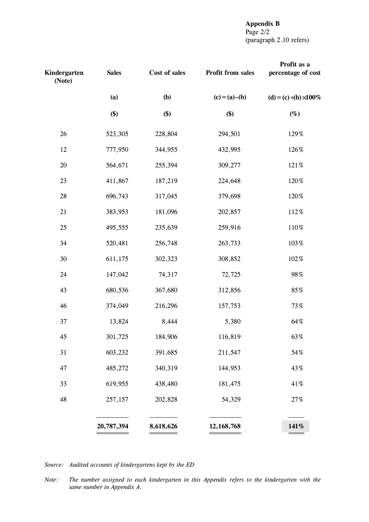# **Appendix B** Page 2/2 (paragraph 2.10 refers)

| Kindergarten<br>(Note) | <b>Sales</b> | Cost of sales | <b>Profit from sales</b> | Profit as a<br>percentage of cost |
|------------------------|--------------|---------------|--------------------------|-----------------------------------|
|                        | (a)          | (b)           | $(c)=(a)-(b)$            | (d) = (c) (b) $\degree$ 100%      |
|                        | \$)          | \$)           | \$)                      | $(\%)$                            |
| 26                     | 523,305      | 228,804       | 294,501                  | 129%                              |
| 12                     | 777,950      | 344,955       | 432,995                  | 126%                              |
| $20\,$                 | 564,671      | 255,394       | 309,277                  | 121%                              |
| 23                     | 411,867      | 187,219       | 224,648                  | 120%                              |
| 28                     | 696,743      | 317,045       | 379,698                  | 120%                              |
| 21                     | 383,953      | 181,096       | 202,857                  | 112%                              |
| 25                     | 495,555      | 235,639       | 259,916                  | 110%                              |
| 34                     | 520,481      | 256,748       | 263,733                  | 103%                              |
| $30\,$                 | 611,175      | 302,323       | 308,852                  | 102%                              |
| 24                     | 147,042      | 74,317        | 72,725                   | 98%                               |
| 43                     | 680,536      | 367,680       | 312,856                  | 85%                               |
| 46                     | 374,049      | 216,296       | 157,753                  | 73%                               |
| 37                     | 13,824       | 8,444         | 5,380                    | 64%                               |
| 45                     | 301,725      | 184,906       | 116,819                  | 63%                               |
| 31                     | 603,232      | 391,685       | 211,547                  | 54%                               |
| 47                     | 485,272      | 340,319       | 144,953                  | 43%                               |
| 33                     | 619,955      | 438,480       | 181,475                  | 41%                               |
| 48                     | 257,157      | 202,828       | 54,329                   | $27\%$                            |
|                        | 20,787,394   | 8,618,626     | 12,168,768               | 141%                              |

*Source: Audited accounts of kindergartens kept by the ED*

*Note: The number assigned to each kindergarten in this Appendix refers to the kindergarten with the same number in Appendix A.*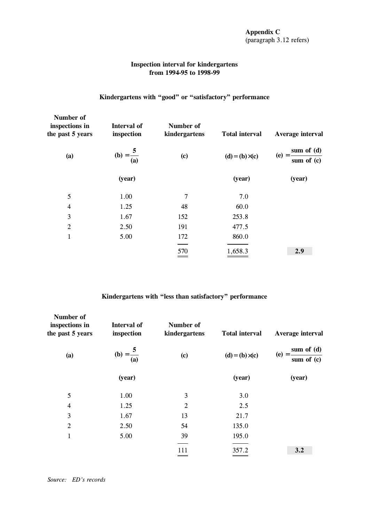## **Inspection interval for kindergartens from 1994-95 to 1998-99**

# **Kindergartens with "good" or "satisfactory" performance**

| Number of<br>inspections in<br>the past 5 years | Interval of<br>inspection | Number of<br>kindergartens | <b>Total interval</b>     | Average interval                        |
|-------------------------------------------------|---------------------------|----------------------------|---------------------------|-----------------------------------------|
| (a)                                             | (b) = $\frac{5}{(a)}$     | $\left( \mathbf{c}\right)$ | $(d) = (b)$ $\hat{c}$ (c) | sum of $(d)$<br>$(e) = -$<br>sum of (c) |
|                                                 | (year)                    |                            | (year)                    | (year)                                  |
| 5                                               | 1.00                      | 7                          | 7.0                       |                                         |
| 4                                               | 1.25                      | 48                         | 60.0                      |                                         |
| 3                                               | 1.67                      | 152                        | 253.8                     |                                         |
| $\overline{2}$                                  | 2.50                      | 191                        | 477.5                     |                                         |
| $\mathbf{1}$                                    | 5.00                      | 172                        | 860.0                     |                                         |
|                                                 |                           | 570<br>___                 | 1,658.3                   | 2.9                                     |

# **Kindergartens with "less than satisfactory" performance**

| Number of<br>inspections in<br>the past 5 years | <b>Interval of</b><br>inspection | Number of<br>kindergartens | <b>Total interval</b> | Average interval                    |  |
|-------------------------------------------------|----------------------------------|----------------------------|-----------------------|-------------------------------------|--|
| (a)                                             | (b) = $\frac{5}{(a)}$            | $\left( \mathbf{c}\right)$ | $(d) = (b)$ $\hat{c}$ | sum of (d)<br>$(e) =$<br>sum of (c) |  |
|                                                 | (year)                           |                            | (year)                | (year)                              |  |
| 5                                               | 1.00                             | 3                          | 3.0                   |                                     |  |
| 4                                               | 1.25                             | $\overline{2}$             | 2.5                   |                                     |  |
| 3                                               | 1.67                             | 13                         | 21.7                  |                                     |  |
| $\overline{2}$                                  | 2.50                             | 54                         | 135.0                 |                                     |  |
| 1                                               | 5.00                             | 39                         | 195.0                 |                                     |  |
|                                                 |                                  | 111                        | 357.2                 | 3.2                                 |  |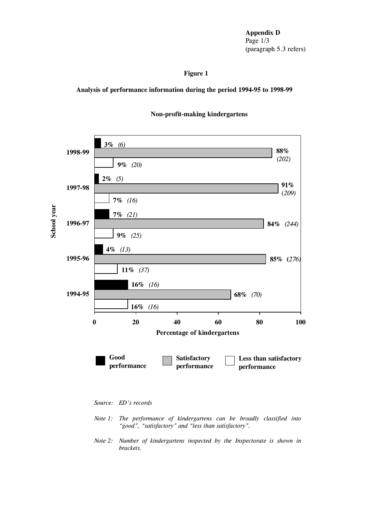**Appendix D** Page 1/3 (paragraph 5.3 refers)

# **Figure 1**

**Analysis of performance information during the period 1994-95 to 1998-99**



## **Non-profit-making kindergartens**

*Source: ED's records*

- *Note 1: The performance of kindergartens can be broadly classified into "good", "satisfactory" and "less than satisfactory".*
- *Note 2: Number of kindergartens inspected by the Inspectorate is shown in brackets.*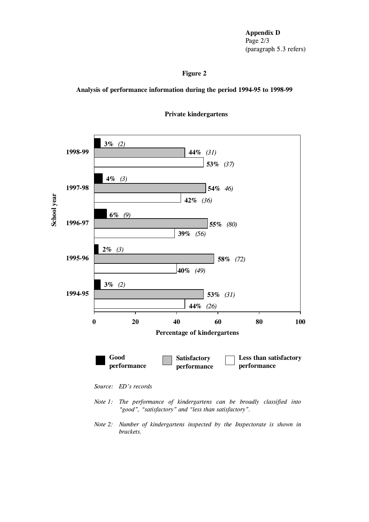**Appendix D** Page 2/3 (paragraph 5.3 refers)

## **Figure 2**

**Analysis of performance information during the period 1994-95 to 1998-99**



**Private kindergartens**

*Note 2: Number of kindergartens inspected by the Inspectorate is shown in brackets.*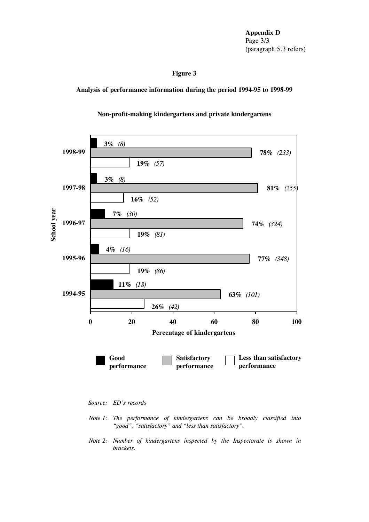**Appendix D** Page 3/3 (paragraph 5.3 refers)

# **Figure 3**

**Analysis of performance information during the period 1994-95 to 1998-99**

#### **Non-profit-making kindergartens and private kindergartens**



*Source: ED's records*

- *Note 1: The performance of kindergartens can be broadly classified into "good", "satisfactory" and "less than satisfactory".*
- *Note 2: Number of kindergartens inspected by the Inspectorate is shown in brackets.*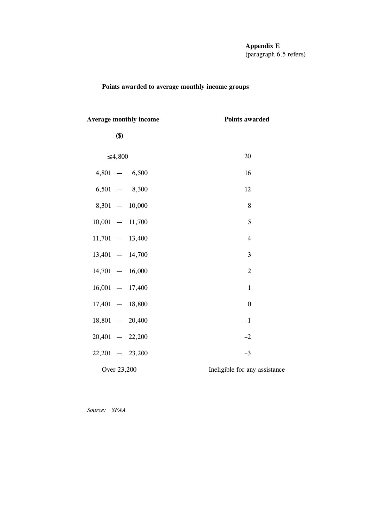#### **Appendix E** (paragraph 6.5 refers)

# **Points awarded to average monthly income groups**

| 20                            |
|-------------------------------|
| 16                            |
| 12                            |
| 8                             |
| 5                             |
| $\overline{4}$                |
| 3                             |
| $\overline{2}$                |
| $\mathbf{1}$                  |
| $\boldsymbol{0}$              |
| $-1$                          |
| $-2$                          |
| $-3$                          |
| Ineligible for any assistance |
|                               |

*Source: SFAA*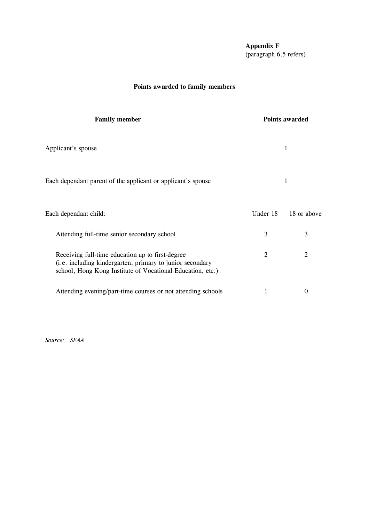**Appendix F** (paragraph 6.5 refers)

# **Points awarded to family members**

| <b>Family member</b>                                                                                                                                                        |          | Points awarded |
|-----------------------------------------------------------------------------------------------------------------------------------------------------------------------------|----------|----------------|
| Applicant's spouse                                                                                                                                                          |          | 1              |
| Each dependant parent of the applicant or applicant's spouse                                                                                                                |          | 1              |
| Each dependant child:                                                                                                                                                       | Under 18 | 18 or above    |
| Attending full-time senior secondary school                                                                                                                                 | 3        | 3              |
| Receiving full-time education up to first-degree<br>(i.e. including kindergarten, primary to junior secondary<br>school, Hong Kong Institute of Vocational Education, etc.) | 2        | 2              |
| Attending evening/part-time courses or not attending schools                                                                                                                |          | $\theta$       |

*Source: SFAA*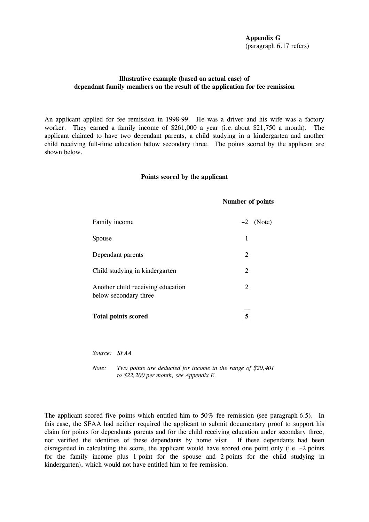**Appendix G** (paragraph 6.17 refers)

## **Illustrative example (based on actual case) of dependant family members on the result of the application for fee remission**

An applicant applied for fee remission in 1998-99. He was a driver and his wife was a factory worker. They earned a family income of \$261,000 a year (i.e. about \$21,750 a month). The applicant claimed to have two dependant parents, a child studying in a kindergarten and another child receiving full-time education below secondary three. The points scored by the applicant are shown below.

#### **Points scored by the applicant**

#### **Number of points**

| Family income                                              |   | $-2$ (Note) |
|------------------------------------------------------------|---|-------------|
| Spouse                                                     | 1 |             |
| Dependant parents                                          | 2 |             |
| Child studying in kindergarten                             | 2 |             |
| Another child receiving education<br>below secondary three | 2 |             |
| <b>Total points scored</b>                                 | 5 |             |

*Source: SFAA*

*Note: Two points are deducted for income in the range of \$20,401 to \$22,200 per month, see Appendix E.*

The applicant scored five points which entitled him to 50% fee remission (see paragraph 6.5). In this case, the SFAA had neither required the applicant to submit documentary proof to support his claim for points for dependants parents and for the child receiving education under secondary three, nor verified the identities of these dependants by home visit. If these dependants had been disregarded in calculating the score, the applicant would have scored one point only (i.e. –2 points for the family income plus 1 point for the spouse and 2 points for the child studying in kindergarten), which would not have entitled him to fee remission.